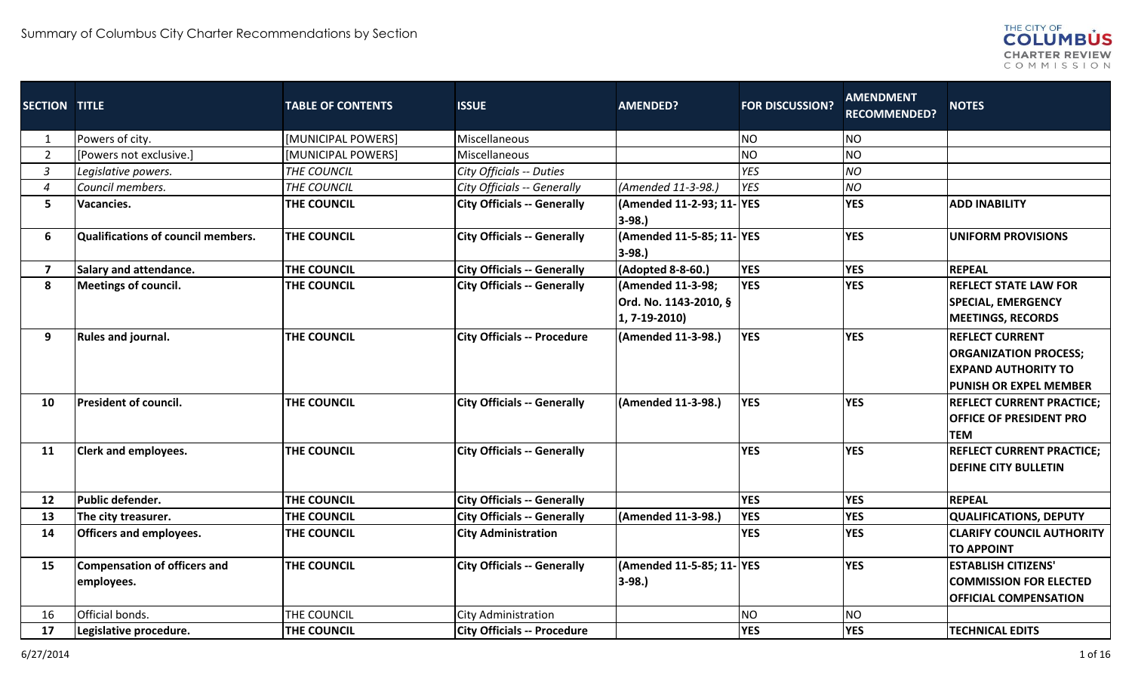

| <b>SECTION TITLE</b>    |                                           | <b>TABLE OF CONTENTS</b> | <b>ISSUE</b>                       | <b>AMENDED?</b>                     | <b>FOR DISCUSSION?</b> | <b>AMENDMENT</b><br><b>RECOMMENDED?</b> | <b>NOTES</b>                     |
|-------------------------|-------------------------------------------|--------------------------|------------------------------------|-------------------------------------|------------------------|-----------------------------------------|----------------------------------|
| 1                       | Powers of city.                           | [MUNICIPAL POWERS]       | Miscellaneous                      |                                     | <b>NO</b>              | NO <sub>1</sub>                         |                                  |
| $\overline{2}$          | [Powers not exclusive.]                   | [MUNICIPAL POWERS]       | Miscellaneous                      |                                     | <b>NO</b>              | <b>NO</b>                               |                                  |
| $\mathfrak{Z}$          | Legislative powers.                       | THE COUNCIL              | City Officials -- Duties           |                                     | <b>YES</b>             | <b>NO</b>                               |                                  |
| $\boldsymbol{4}$        | Council members.                          | THE COUNCIL              | City Officials -- Generally        | (Amended 11-3-98.)                  | <b>YES</b>             | NO                                      |                                  |
| 5 <sub>1</sub>          | Vacancies.                                | THE COUNCIL              | <b>City Officials -- Generally</b> | (Amended 11-2-93; 11-YES<br>$3-98.$ |                        | <b>YES</b>                              | <b>ADD INABILITY</b>             |
| 6                       | <b>Qualifications of council members.</b> | <b>THE COUNCIL</b>       | <b>City Officials -- Generally</b> | (Amended 11-5-85; 11-YES<br>$3-98.$ |                        | <b>YES</b>                              | <b>UNIFORM PROVISIONS</b>        |
| $\overline{\mathbf{z}}$ | <b>Salary and attendance.</b>             | <b>THE COUNCIL</b>       | <b>City Officials -- Generally</b> | (Adopted 8-8-60.)                   | <b>YES</b>             | <b>YES</b>                              | <b>REPEAL</b>                    |
| 8                       | Meetings of council.                      | <b>THE COUNCIL</b>       | <b>City Officials -- Generally</b> | (Amended 11-3-98;                   | <b>YES</b>             | <b>YES</b>                              | <b>REFLECT STATE LAW FOR</b>     |
|                         |                                           |                          |                                    | Ord. No. 1143-2010, §               |                        |                                         | <b>SPECIAL, EMERGENCY</b>        |
|                         |                                           |                          |                                    | $(1, 7-19-2010)$                    |                        |                                         | <b>MEETINGS, RECORDS</b>         |
| 9                       | Rules and journal.                        | <b>THE COUNCIL</b>       | <b>City Officials -- Procedure</b> | (Amended 11-3-98.)                  | <b>YES</b>             | <b>YES</b>                              | <b>REFLECT CURRENT</b>           |
|                         |                                           |                          |                                    |                                     |                        |                                         | <b>ORGANIZATION PROCESS;</b>     |
|                         |                                           |                          |                                    |                                     |                        |                                         | <b>EXPAND AUTHORITY TO</b>       |
|                         |                                           |                          |                                    |                                     |                        |                                         | <b>PUNISH OR EXPEL MEMBER</b>    |
| 10                      | <b>President of council.</b>              | <b>THE COUNCIL</b>       | <b>City Officials -- Generally</b> | (Amended 11-3-98.)                  | <b>YES</b>             | <b>YES</b>                              | <b>REFLECT CURRENT PRACTICE:</b> |
|                         |                                           |                          |                                    |                                     |                        |                                         | <b>OFFICE OF PRESIDENT PRO</b>   |
|                         |                                           |                          |                                    |                                     |                        |                                         | <b>TEM</b>                       |
| 11                      | <b>Clerk and employees.</b>               | <b>THE COUNCIL</b>       | <b>City Officials -- Generally</b> |                                     | <b>YES</b>             | <b>YES</b>                              | <b>REFLECT CURRENT PRACTICE;</b> |
|                         |                                           |                          |                                    |                                     |                        |                                         | <b>DEFINE CITY BULLETIN</b>      |
| 12                      | Public defender.                          | <b>THE COUNCIL</b>       | <b>City Officials -- Generally</b> |                                     | <b>YES</b>             | <b>YES</b>                              | <b>REPEAL</b>                    |
| 13                      | The city treasurer.                       | THE COUNCIL              | <b>City Officials -- Generally</b> | (Amended 11-3-98.)                  | <b>YES</b>             | <b>YES</b>                              | <b>QUALIFICATIONS, DEPUTY</b>    |
| 14                      | <b>Officers and employees.</b>            | THE COUNCIL              | <b>City Administration</b>         |                                     | <b>YES</b>             | <b>YES</b>                              | <b>CLARIFY COUNCIL AUTHORITY</b> |
|                         |                                           |                          |                                    |                                     |                        |                                         | <b>TO APPOINT</b>                |
| 15                      | <b>Compensation of officers and</b>       | <b>THE COUNCIL</b>       | <b>City Officials -- Generally</b> | (Amended 11-5-85; 11-YES            |                        | <b>YES</b>                              | <b>ESTABLISH CITIZENS'</b>       |
|                         | employees.                                |                          |                                    | $ 3-98.$                            |                        |                                         | <b>COMMISSION FOR ELECTED</b>    |
|                         |                                           |                          |                                    |                                     |                        |                                         | <b>OFFICIAL COMPENSATION</b>     |
| 16                      | Official bonds.                           | THE COUNCIL              | <b>City Administration</b>         |                                     | <b>NO</b>              | <b>NO</b>                               |                                  |
| 17                      | Legislative procedure.                    | <b>THE COUNCIL</b>       | <b>City Officials -- Procedure</b> |                                     | <b>YES</b>             | <b>YES</b>                              | <b>TECHNICAL EDITS</b>           |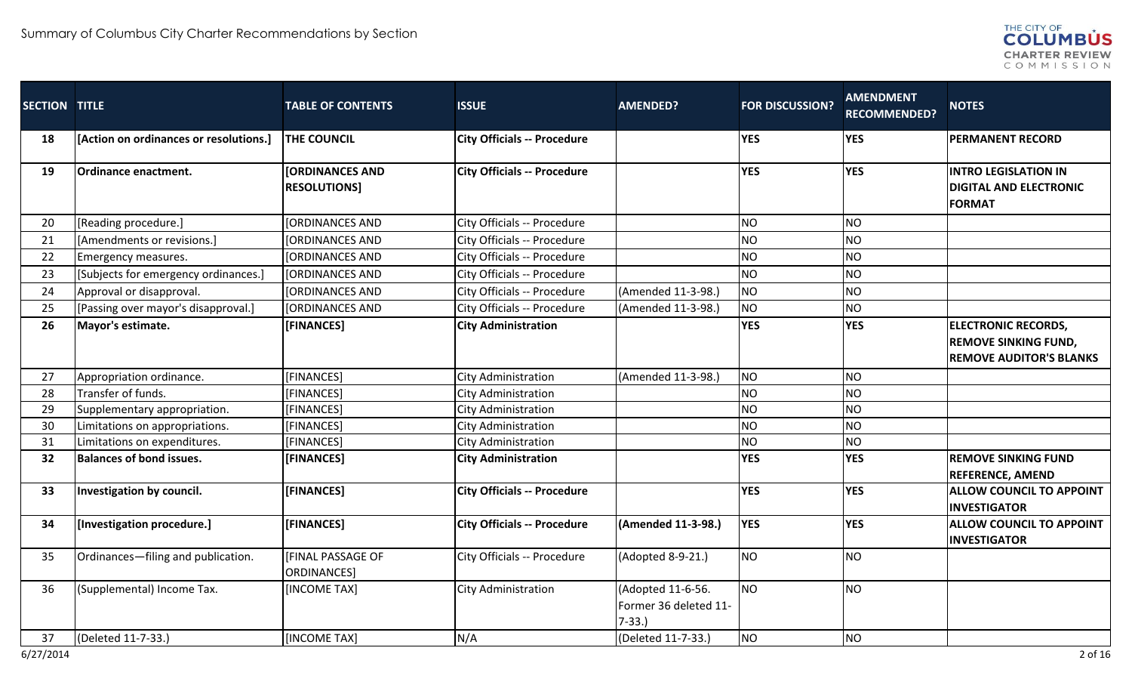

| SECTION TITLE |                                        | <b>TABLE OF CONTENTS</b>                      | <b>ISSUE</b>                       | <b>AMENDED?</b>                                       | <b>FOR DISCUSSION?</b> | <b>AMENDMENT</b><br><b>RECOMMENDED?</b> | <b>NOTES</b>                                                                                |
|---------------|----------------------------------------|-----------------------------------------------|------------------------------------|-------------------------------------------------------|------------------------|-----------------------------------------|---------------------------------------------------------------------------------------------|
| 18            | [Action on ordinances or resolutions.] | <b>THE COUNCIL</b>                            | <b>City Officials -- Procedure</b> |                                                       | <b>YES</b>             | <b>YES</b>                              | <b>PERMANENT RECORD</b>                                                                     |
| 19            | Ordinance enactment.                   | <b>[ORDINANCES AND</b><br><b>RESOLUTIONS1</b> | <b>City Officials -- Procedure</b> |                                                       | <b>YES</b>             | <b>YES</b>                              | <b>INTRO LEGISLATION IN</b><br><b>DIGITAL AND ELECTRONIC</b><br><b>FORMAT</b>               |
| 20            | [Reading procedure.]                   | <b>[ORDINANCES AND</b>                        | City Officials -- Procedure        |                                                       | NO                     | <b>NO</b>                               |                                                                                             |
| 21            | [Amendments or revisions.]             | [ORDINANCES AND                               | City Officials -- Procedure        |                                                       | <b>NO</b>              | <b>NO</b>                               |                                                                                             |
| 22            | Emergency measures.                    | <b>[ORDINANCES AND</b>                        | City Officials -- Procedure        |                                                       | <b>NO</b>              | <b>NO</b>                               |                                                                                             |
| 23            | [Subjects for emergency ordinances.]   | <b>[ORDINANCES AND</b>                        | City Officials -- Procedure        |                                                       | <b>NO</b>              | <b>NO</b>                               |                                                                                             |
| 24            | Approval or disapproval.               | <b>[ORDINANCES AND</b>                        | City Officials -- Procedure        | (Amended 11-3-98.)                                    | NO                     | <b>NO</b>                               |                                                                                             |
| 25            | [Passing over mayor's disapproval.]    | <b>[ORDINANCES AND</b>                        | City Officials -- Procedure        | (Amended 11-3-98.)                                    | NO                     | N <sub>O</sub>                          |                                                                                             |
| 26            | Mayor's estimate.                      | [FINANCES]                                    | <b>City Administration</b>         |                                                       | <b>YES</b>             | <b>YES</b>                              | <b>ELECTRONIC RECORDS,</b><br><b>REMOVE SINKING FUND,</b><br><b>REMOVE AUDITOR'S BLANKS</b> |
| 27            | Appropriation ordinance.               | [FINANCES]                                    | City Administration                | (Amended 11-3-98.)                                    | NO <sub>1</sub>        | N <sub>O</sub>                          |                                                                                             |
| 28            | Transfer of funds.                     | [FINANCES]                                    | City Administration                |                                                       | <b>NO</b>              | <b>NO</b>                               |                                                                                             |
| 29            | Supplementary appropriation.           | [FINANCES]                                    | City Administration                |                                                       | <b>NO</b>              | <b>NO</b>                               |                                                                                             |
| 30            | Limitations on appropriations.         | [FINANCES]                                    | <b>City Administration</b>         |                                                       | <b>NO</b>              | <b>NO</b>                               |                                                                                             |
| 31            | Limitations on expenditures.           | [FINANCES]                                    | City Administration                |                                                       | <b>NO</b>              | <b>NO</b>                               |                                                                                             |
| 32            | <b>Balances of bond issues.</b>        | [FINANCES]                                    | <b>City Administration</b>         |                                                       | <b>YES</b>             | <b>YES</b>                              | <b>REMOVE SINKING FUND</b><br><b>REFERENCE, AMEND</b>                                       |
| 33            | Investigation by council.              | [FINANCES]                                    | <b>City Officials -- Procedure</b> |                                                       | <b>YES</b>             | <b>YES</b>                              | <b>ALLOW COUNCIL TO APPOINT</b><br><b>INVESTIGATOR</b>                                      |
| 34            | [Investigation procedure.]             | [FINANCES]                                    | <b>City Officials -- Procedure</b> | (Amended 11-3-98.)                                    | <b>YES</b>             | <b>YES</b>                              | <b>ALLOW COUNCIL TO APPOINT</b><br><b>INVESTIGATOR</b>                                      |
| 35            | Ordinances-filing and publication.     | <b>[FINAL PASSAGE OF</b><br>ORDINANCES]       | City Officials -- Procedure        | (Adopted 8-9-21.)                                     | <b>NO</b>              | <b>NO</b>                               |                                                                                             |
| 36            | (Supplemental) Income Tax.             | [INCOME TAX]                                  | City Administration                | (Adopted 11-6-56.<br>Former 36 deleted 11-<br>$7-33.$ | NO                     | N <sub>O</sub>                          |                                                                                             |
| 37            | (Deleted 11-7-33.)                     | [INCOME TAX]                                  | N/A                                | (Deleted 11-7-33.)                                    | NO                     | <b>NO</b>                               |                                                                                             |
| 6/27/2014     |                                        |                                               |                                    |                                                       |                        |                                         | 2 of 16                                                                                     |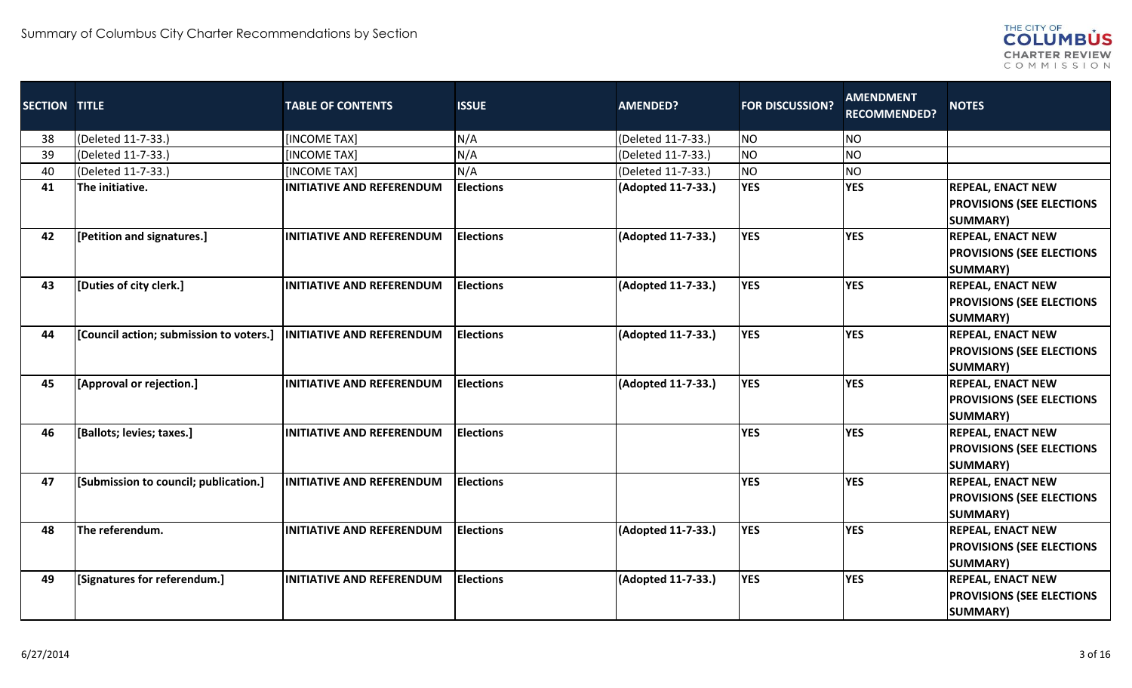

| <b>SECTION TITLE</b> |                                         | <b>TABLE OF CONTENTS</b>         | <b>ISSUE</b>      | <b>AMENDED?</b>    | <b>FOR DISCUSSION?</b> | <b>AMENDMENT</b><br><b>RECOMMENDED?</b> | <b>NOTES</b>                                                                    |
|----------------------|-----------------------------------------|----------------------------------|-------------------|--------------------|------------------------|-----------------------------------------|---------------------------------------------------------------------------------|
| 38                   | (Deleted 11-7-33.)                      | <b>INCOME TAXI</b>               | N/A               | (Deleted 11-7-33.) | <b>NO</b>              | <b>NO</b>                               |                                                                                 |
| 39                   | (Deleted 11-7-33.)                      | [INCOME TAX]                     | N/A               | (Deleted 11-7-33.) | <b>NO</b>              | <b>NO</b>                               |                                                                                 |
| 40                   | (Deleted 11-7-33.)                      | [INCOME TAX]                     | N/A               | (Deleted 11-7-33.) | NO                     | <b>NO</b>                               |                                                                                 |
| 41                   | The initiative.                         | <b>INITIATIVE AND REFERENDUM</b> | <b>Elections</b>  | (Adopted 11-7-33.) | <b>YES</b>             | <b>YES</b>                              | <b>REPEAL, ENACT NEW</b><br><b>PROVISIONS (SEE ELECTIONS</b><br><b>SUMMARY)</b> |
| 42                   | [Petition and signatures.]              | <b>INITIATIVE AND REFERENDUM</b> | <b>Elections</b>  | (Adopted 11-7-33.) | <b>YES</b>             | <b>YES</b>                              | <b>REPEAL, ENACT NEW</b><br><b>PROVISIONS (SEE ELECTIONS</b><br><b>SUMMARY)</b> |
| 43                   | [Duties of city clerk.]                 | <b>INITIATIVE AND REFERENDUM</b> | <b>Elections</b>  | (Adopted 11-7-33.) | <b>YES</b>             | <b>YES</b>                              | <b>REPEAL, ENACT NEW</b><br><b>PROVISIONS (SEE ELECTIONS</b><br><b>SUMMARY)</b> |
| 44                   | [Council action; submission to voters.] | <b>INITIATIVE AND REFERENDUM</b> | <b>IElections</b> | (Adopted 11-7-33.) | <b>YES</b>             | <b>YES</b>                              | <b>REPEAL, ENACT NEW</b><br><b>PROVISIONS (SEE ELECTIONS</b><br><b>SUMMARY)</b> |
| 45                   | [Approval or rejection.]                | <b>INITIATIVE AND REFERENDUM</b> | <b>Elections</b>  | (Adopted 11-7-33.) | <b>YES</b>             | <b>YES</b>                              | <b>REPEAL, ENACT NEW</b><br><b>PROVISIONS (SEE ELECTIONS</b><br><b>SUMMARY)</b> |
| 46                   | [Ballots; levies; taxes.]               | <b>INITIATIVE AND REFERENDUM</b> | <b>Elections</b>  |                    | <b>YES</b>             | <b>YES</b>                              | <b>REPEAL, ENACT NEW</b><br><b>PROVISIONS (SEE ELECTIONS</b><br><b>SUMMARY)</b> |
| 47                   | [Submission to council; publication.]   | INITIATIVE AND REFERENDUM        | <b>Elections</b>  |                    | <b>YES</b>             | <b>YES</b>                              | <b>REPEAL, ENACT NEW</b><br><b>PROVISIONS (SEE ELECTIONS</b><br><b>SUMMARY)</b> |
| 48                   | The referendum.                         | <b>INITIATIVE AND REFERENDUM</b> | <b>Elections</b>  | (Adopted 11-7-33.) | <b>YES</b>             | <b>YES</b>                              | <b>REPEAL, ENACT NEW</b><br><b>PROVISIONS (SEE ELECTIONS</b><br><b>SUMMARY)</b> |
| 49                   | [Signatures for referendum.]            | <b>INITIATIVE AND REFERENDUM</b> | <b>Elections</b>  | (Adopted 11-7-33.) | <b>YES</b>             | <b>YES</b>                              | <b>REPEAL, ENACT NEW</b><br><b>PROVISIONS (SEE ELECTIONS</b><br><b>SUMMARY)</b> |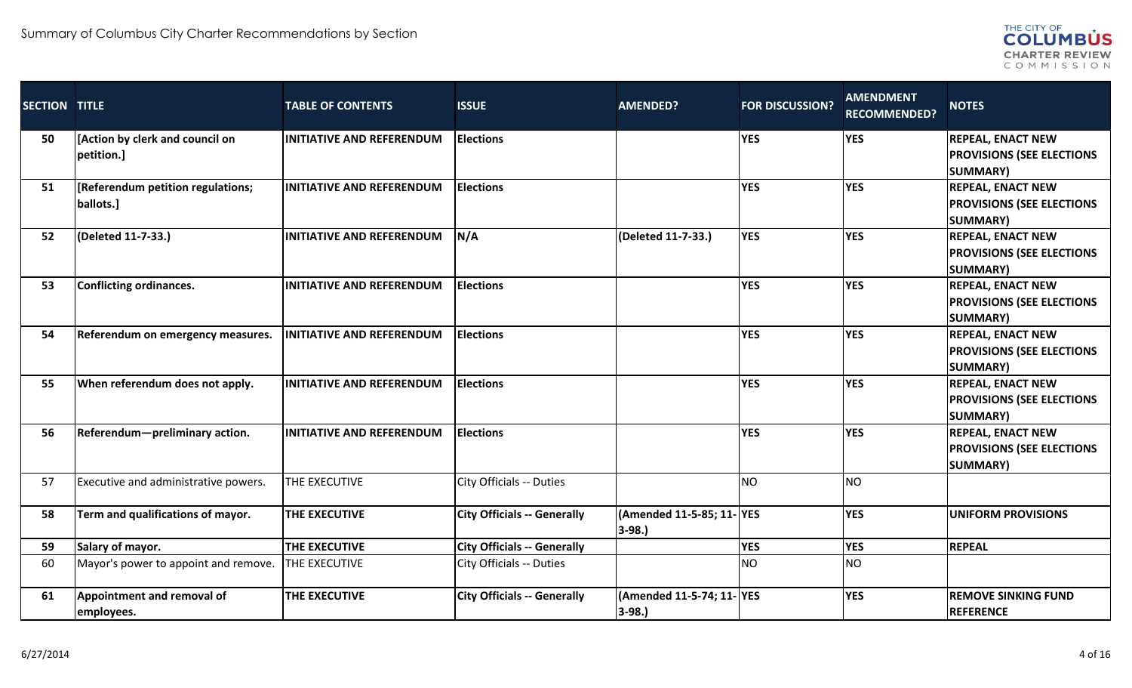

| <b>SECTION TITLE</b> |                                                | <b>TABLE OF CONTENTS</b>         | <b>ISSUE</b>                       | <b>AMENDED?</b>                     | <b>FOR DISCUSSION?</b> | <b>AMENDMENT</b><br><b>RECOMMENDED?</b> | <b>NOTES</b>                                                                    |
|----------------------|------------------------------------------------|----------------------------------|------------------------------------|-------------------------------------|------------------------|-----------------------------------------|---------------------------------------------------------------------------------|
| 50                   | [Action by clerk and council on<br>petition.]  | <b>INITIATIVE AND REFERENDUM</b> | <b>Elections</b>                   |                                     | <b>YES</b>             | <b>YES</b>                              | <b>REPEAL, ENACT NEW</b><br><b>PROVISIONS (SEE ELECTIONS</b><br><b>SUMMARY)</b> |
| 51                   | [Referendum petition regulations;<br>ballots.] | <b>INITIATIVE AND REFERENDUM</b> | <b>Elections</b>                   |                                     | <b>YES</b>             | <b>YES</b>                              | <b>REPEAL, ENACT NEW</b><br><b>PROVISIONS (SEE ELECTIONS</b><br><b>SUMMARY)</b> |
| 52                   | (Deleted 11-7-33.)                             | <b>INITIATIVE AND REFERENDUM</b> | N/A                                | (Deleted 11-7-33.)                  | <b>YES</b>             | <b>YES</b>                              | <b>REPEAL, ENACT NEW</b><br><b>PROVISIONS (SEE ELECTIONS</b><br><b>SUMMARY)</b> |
| 53                   | <b>Conflicting ordinances.</b>                 | <b>INITIATIVE AND REFERENDUM</b> | <b>Elections</b>                   |                                     | <b>YES</b>             | <b>YES</b>                              | <b>REPEAL, ENACT NEW</b><br><b>PROVISIONS (SEE ELECTIONS</b><br><b>SUMMARY)</b> |
| 54                   | Referendum on emergency measures.              | <b>INITIATIVE AND REFERENDUM</b> | <b>Elections</b>                   |                                     | <b>YES</b>             | <b>YES</b>                              | <b>REPEAL, ENACT NEW</b><br><b>PROVISIONS (SEE ELECTIONS</b><br><b>SUMMARY)</b> |
| 55                   | When referendum does not apply.                | <b>INITIATIVE AND REFERENDUM</b> | <b>Elections</b>                   |                                     | <b>YES</b>             | <b>YES</b>                              | <b>REPEAL, ENACT NEW</b><br><b>PROVISIONS (SEE ELECTIONS</b><br><b>SUMMARY)</b> |
| 56                   | Referendum-preliminary action.                 | <b>INITIATIVE AND REFERENDUM</b> | <b>Elections</b>                   |                                     | <b>YES</b>             | <b>YES</b>                              | <b>REPEAL, ENACT NEW</b><br><b>PROVISIONS (SEE ELECTIONS</b><br><b>SUMMARY)</b> |
| 57                   | Executive and administrative powers.           | THE EXECUTIVE                    | City Officials -- Duties           |                                     | <b>I</b> NO            | <b>NO</b>                               |                                                                                 |
| 58                   | Term and qualifications of mayor.              | THE EXECUTIVE                    | <b>City Officials -- Generally</b> | (Amended 11-5-85; 11-YES<br>$3-98.$ |                        | <b>YES</b>                              | <b>UNIFORM PROVISIONS</b>                                                       |
| 59                   | Salary of mayor.                               | <b>THE EXECUTIVE</b>             | <b>City Officials -- Generally</b> |                                     | <b>YES</b>             | <b>YES</b>                              | <b>REPEAL</b>                                                                   |
| 60                   | Mayor's power to appoint and remove.           | <b>THE EXECUTIVE</b>             | City Officials -- Duties           |                                     | <b>NO</b>              | <b>NO</b>                               |                                                                                 |
| 61                   | Appointment and removal of<br>employees.       | <b>THE EXECUTIVE</b>             | <b>City Officials -- Generally</b> | (Amended 11-5-74; 11-YES<br>3-98.)  |                        | <b>YES</b>                              | <b>REMOVE SINKING FUND</b><br><b>REFERENCE</b>                                  |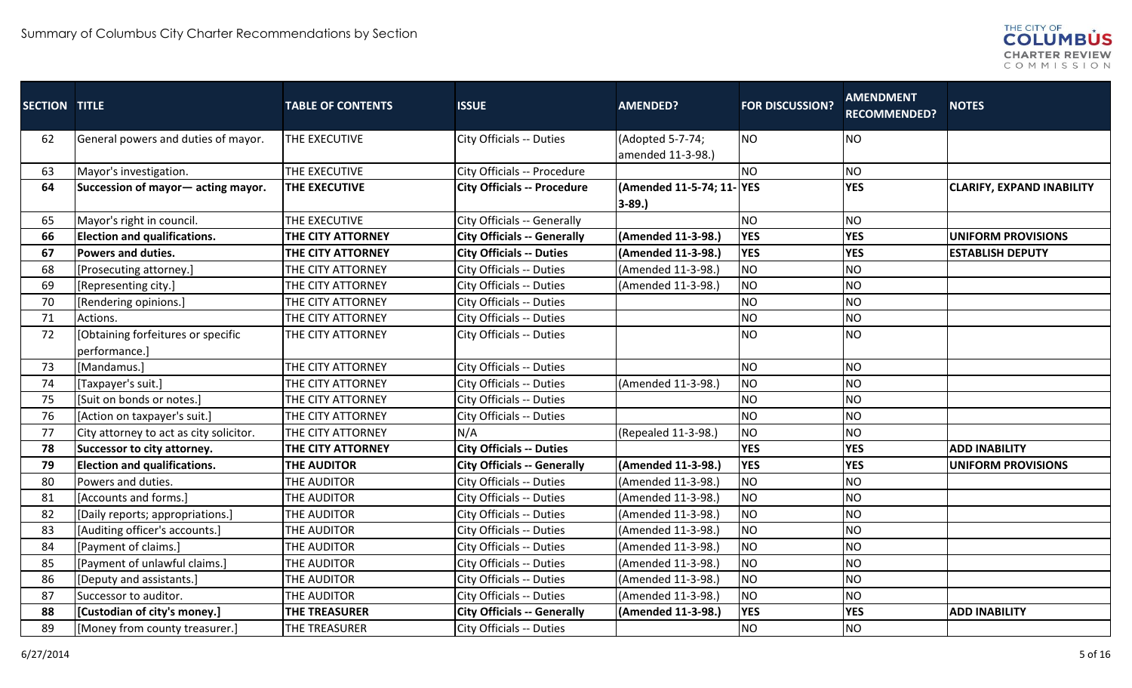

| <b>SECTION TITLE</b> |                                         | <b>TABLE OF CONTENTS</b> | <b>ISSUE</b>                       | <b>AMENDED?</b>                       | <b>FOR DISCUSSION?</b> | <b>AMENDMENT</b><br><b>RECOMMENDED?</b> | <b>NOTES</b>                     |
|----------------------|-----------------------------------------|--------------------------|------------------------------------|---------------------------------------|------------------------|-----------------------------------------|----------------------------------|
| 62                   | General powers and duties of mayor.     | THE EXECUTIVE            | City Officials -- Duties           | (Adopted 5-7-74;                      | NO                     | <b>NO</b>                               |                                  |
|                      |                                         |                          |                                    | amended 11-3-98.)                     |                        |                                         |                                  |
| 63                   | Mayor's investigation.                  | THE EXECUTIVE            | City Officials -- Procedure        |                                       | <b>NO</b>              | <b>NO</b>                               |                                  |
| 64                   | Succession of mayor - acting mayor.     | THE EXECUTIVE            | <b>City Officials -- Procedure</b> | (Amended 11-5-74; 11-YES<br>$3 - 89.$ |                        | <b>YES</b>                              | <b>CLARIFY, EXPAND INABILITY</b> |
| 65                   | Mayor's right in council.               | THE EXECUTIVE            | City Officials -- Generally        |                                       | <b>NO</b>              | <b>NO</b>                               |                                  |
| 66                   | <b>Election and qualifications.</b>     | THE CITY ATTORNEY        | <b>City Officials -- Generally</b> | (Amended 11-3-98.)                    | <b>YES</b>             | <b>YES</b>                              | <b>UNIFORM PROVISIONS</b>        |
| 67                   | Powers and duties.                      | THE CITY ATTORNEY        | <b>City Officials -- Duties</b>    | (Amended 11-3-98.)                    | <b>YES</b>             | <b>YES</b>                              | <b>ESTABLISH DEPUTY</b>          |
| 68                   | [Prosecuting attorney.]                 | THE CITY ATTORNEY        | City Officials -- Duties           | (Amended 11-3-98.)                    | NO                     | <b>NO</b>                               |                                  |
| 69                   | [Representing city.]                    | THE CITY ATTORNEY        | City Officials -- Duties           | (Amended 11-3-98.)                    | NO                     | <b>NO</b>                               |                                  |
| 70                   | [Rendering opinions.]                   | THE CITY ATTORNEY        | City Officials -- Duties           |                                       | <b>NO</b>              | <b>NO</b>                               |                                  |
| 71                   | Actions.                                | THE CITY ATTORNEY        | City Officials -- Duties           |                                       | <b>NO</b>              | <b>NO</b>                               |                                  |
| 72                   | [Obtaining forfeitures or specific      | THE CITY ATTORNEY        | City Officials -- Duties           |                                       | <b>NO</b>              | <b>NO</b>                               |                                  |
|                      | performance.]                           |                          |                                    |                                       |                        |                                         |                                  |
| 73                   | [Mandamus.]                             | THE CITY ATTORNEY        | City Officials -- Duties           |                                       | <b>NO</b>              | <b>NO</b>                               |                                  |
| 74                   | [Taxpayer's suit.]                      | THE CITY ATTORNEY        | City Officials -- Duties           | (Amended 11-3-98.)                    | <b>NO</b>              | <b>NO</b>                               |                                  |
| 75                   | [Suit on bonds or notes.]               | THE CITY ATTORNEY        | City Officials -- Duties           |                                       | <b>NO</b>              | <b>NO</b>                               |                                  |
| 76                   | [Action on taxpayer's suit.]            | THE CITY ATTORNEY        | City Officials -- Duties           |                                       | NO                     | <b>NO</b>                               |                                  |
| 77                   | City attorney to act as city solicitor. | THE CITY ATTORNEY        | N/A                                | (Repealed 11-3-98.)                   | NO                     | <b>NO</b>                               |                                  |
| 78                   | Successor to city attorney.             | THE CITY ATTORNEY        | <b>City Officials -- Duties</b>    |                                       | <b>YES</b>             | <b>YES</b>                              | <b>ADD INABILITY</b>             |
| 79                   | <b>Election and qualifications.</b>     | <b>THE AUDITOR</b>       | <b>City Officials -- Generally</b> | (Amended 11-3-98.)                    | <b>YES</b>             | <b>YES</b>                              | <b>UNIFORM PROVISIONS</b>        |
| 80                   | Powers and duties.                      | THE AUDITOR              | City Officials -- Duties           | (Amended 11-3-98.)                    | NO                     | <b>NO</b>                               |                                  |
| 81                   | [Accounts and forms.]                   | THE AUDITOR              | City Officials -- Duties           | (Amended 11-3-98.)                    | NO                     | <b>NO</b>                               |                                  |
| 82                   | [Daily reports; appropriations.]        | THE AUDITOR              | City Officials -- Duties           | (Amended 11-3-98.)                    | NO                     | <b>NO</b>                               |                                  |
| 83                   | [Auditing officer's accounts.]          | THE AUDITOR              | City Officials -- Duties           | (Amended 11-3-98.)                    | <b>NO</b>              | <b>NO</b>                               |                                  |
| 84                   | [Payment of claims.]                    | THE AUDITOR              | City Officials -- Duties           | (Amended 11-3-98.)                    | NO                     | <b>NO</b>                               |                                  |
| 85                   | [Payment of unlawful claims.]           | THE AUDITOR              | City Officials -- Duties           | (Amended 11-3-98.)                    | NO                     | <b>NO</b>                               |                                  |
| 86                   | [Deputy and assistants.]                | THE AUDITOR              | City Officials -- Duties           | (Amended 11-3-98.)                    | <b>NO</b>              | <b>NO</b>                               |                                  |
| 87                   | Successor to auditor.                   | THE AUDITOR              | City Officials -- Duties           | (Amended 11-3-98.)                    | NO                     | <b>NO</b>                               |                                  |
| 88                   | [Custodian of city's money.]            | <b>THE TREASURER</b>     | <b>City Officials -- Generally</b> | (Amended 11-3-98.)                    | <b>YES</b>             | <b>YES</b>                              | <b>ADD INABILITY</b>             |
| 89                   | [Money from county treasurer.]          | THE TREASURER            | City Officials -- Duties           |                                       | <b>NO</b>              | <b>NO</b>                               |                                  |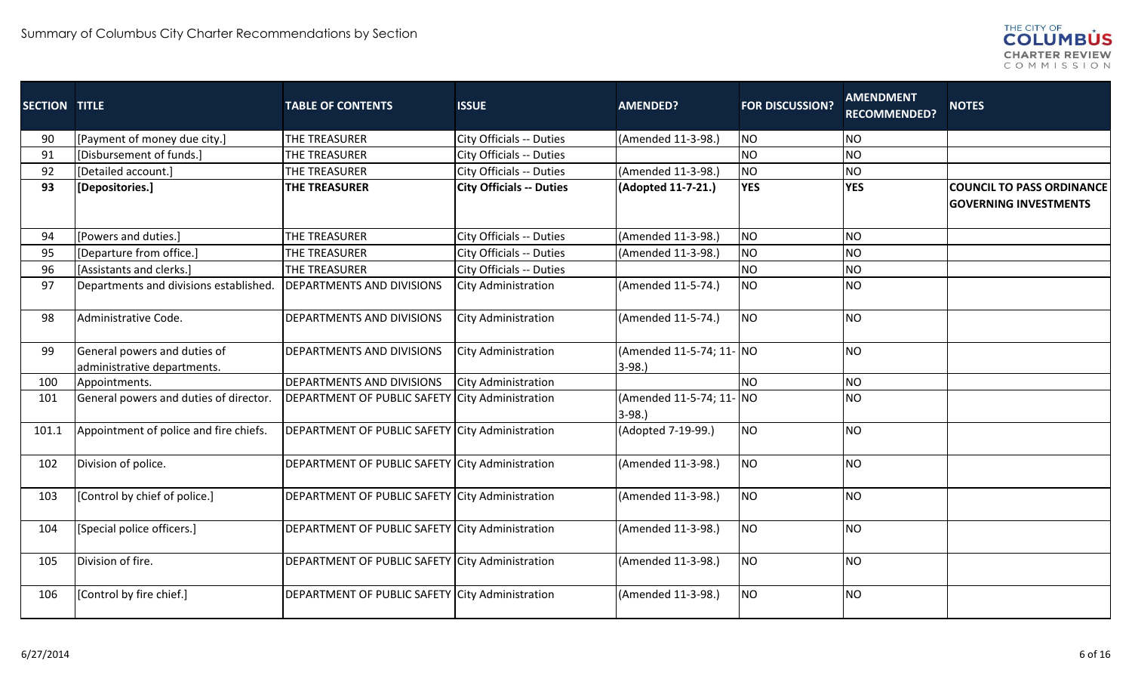

| <b>SECTION TITLE</b> |                                                             | <b>TABLE OF CONTENTS</b>                               | <b>ISSUE</b>                    | <b>AMENDED?</b>                     | <b>FOR DISCUSSION?</b> | <b>AMENDMENT</b><br><b>RECOMMENDED?</b> | <b>NOTES</b>                                                     |
|----------------------|-------------------------------------------------------------|--------------------------------------------------------|---------------------------------|-------------------------------------|------------------------|-----------------------------------------|------------------------------------------------------------------|
| 90                   | [Payment of money due city.]                                | THE TREASURER                                          | City Officials -- Duties        | (Amended 11-3-98.)                  | <b>NO</b>              | <b>NO</b>                               |                                                                  |
| 91                   | [Disbursement of funds.]                                    | THE TREASURER                                          | City Officials -- Duties        |                                     | <b>NO</b>              | <b>NO</b>                               |                                                                  |
| 92                   | [Detailed account.]                                         | THE TREASURER                                          | City Officials -- Duties        | (Amended 11-3-98.)                  | <b>NO</b>              | <b>NO</b>                               |                                                                  |
| 93                   | [Depositories.]                                             | <b>THE TREASURER</b>                                   | <b>City Officials -- Duties</b> | (Adopted 11-7-21.)                  | <b>YES</b>             | <b>YES</b>                              | <b>COUNCIL TO PASS ORDINANCE</b><br><b>GOVERNING INVESTMENTS</b> |
| 94                   | [Powers and duties.]                                        | THE TREASURER                                          | City Officials -- Duties        | (Amended 11-3-98.)                  | <b>NO</b>              | <b>NO</b>                               |                                                                  |
| 95                   | [Departure from office.]                                    | THE TREASURER                                          | City Officials -- Duties        | (Amended 11-3-98.)                  | <b>NO</b>              | <b>NO</b>                               |                                                                  |
| 96                   | [Assistants and clerks.]                                    | THE TREASURER                                          | City Officials -- Duties        |                                     | <b>NO</b>              | <b>NO</b>                               |                                                                  |
| 97                   | Departments and divisions established                       | <b>DEPARTMENTS AND DIVISIONS</b>                       | <b>City Administration</b>      | (Amended 11-5-74.)                  | <b>NO</b>              | <b>NO</b>                               |                                                                  |
| 98                   | Administrative Code.                                        | <b>DEPARTMENTS AND DIVISIONS</b>                       | <b>City Administration</b>      | (Amended 11-5-74.)                  | <b>NO</b>              | <b>NO</b>                               |                                                                  |
| 99                   | General powers and duties of<br>administrative departments. | DEPARTMENTS AND DIVISIONS                              | <b>City Administration</b>      | (Amended 11-5-74; 11- NO<br>$3-98.$ |                        | <b>NO</b>                               |                                                                  |
| 100                  | Appointments.                                               | <b>DEPARTMENTS AND DIVISIONS</b>                       | <b>City Administration</b>      |                                     | <b>NO</b>              | <b>NO</b>                               |                                                                  |
| 101                  | General powers and duties of director.                      | DEPARTMENT OF PUBLIC SAFETY City Administration        |                                 | (Amended 11-5-74; 11- NO<br>$3-98.$ |                        | <b>NO</b>                               |                                                                  |
| 101.1                | Appointment of police and fire chiefs.                      | DEPARTMENT OF PUBLIC SAFETY City Administration        |                                 | (Adopted 7-19-99.)                  | <b>NO</b>              | <b>NO</b>                               |                                                                  |
| 102                  | Division of police.                                         | DEPARTMENT OF PUBLIC SAFETY City Administration        |                                 | (Amended 11-3-98.)                  | <b>NO</b>              | <b>NO</b>                               |                                                                  |
| 103                  | [Control by chief of police.]                               | DEPARTMENT OF PUBLIC SAFETY City Administration        |                                 | (Amended 11-3-98.)                  | <b>NO</b>              | <b>NO</b>                               |                                                                  |
| 104                  | [Special police officers.]                                  | <b>DEPARTMENT OF PUBLIC SAFETY City Administration</b> |                                 | (Amended 11-3-98.)                  | <b>NO</b>              | <b>NO</b>                               |                                                                  |
| 105                  | Division of fire.                                           | DEPARTMENT OF PUBLIC SAFETY City Administration        |                                 | (Amended 11-3-98.)                  | <b>NO</b>              | <b>NO</b>                               |                                                                  |
| 106                  | [Control by fire chief.]                                    | <b>DEPARTMENT OF PUBLIC SAFETY City Administration</b> |                                 | (Amended 11-3-98.)                  | <b>NO</b>              | <b>NO</b>                               |                                                                  |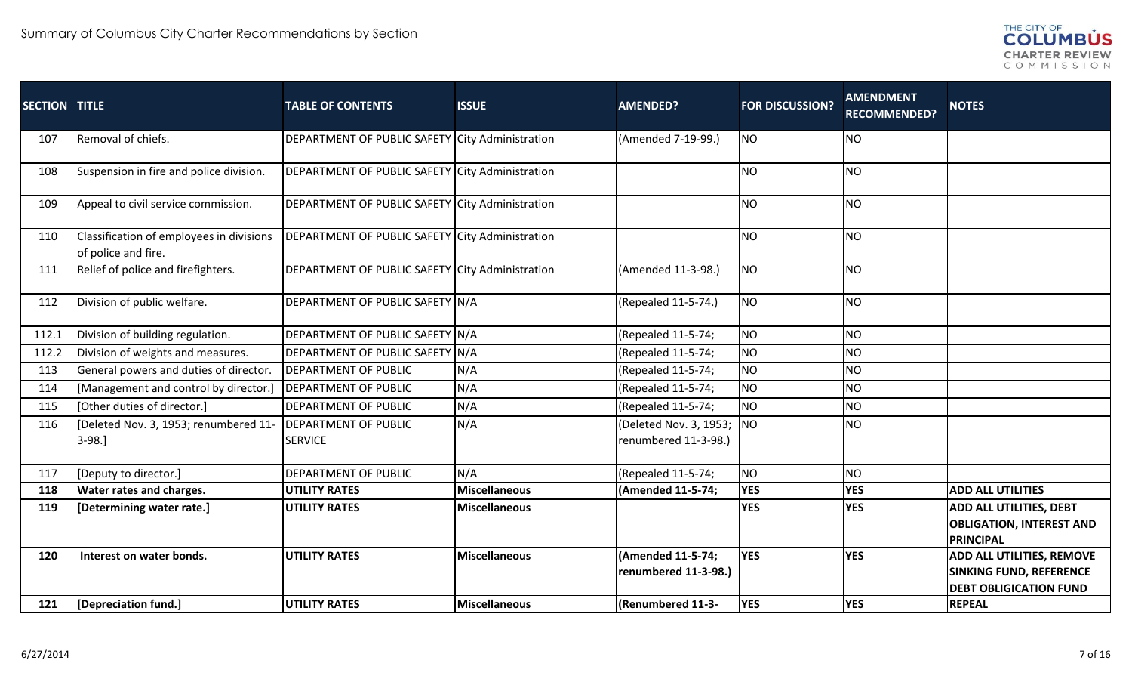

| <b>SECTION TITLE</b> |                                                                 | <b>TABLE OF CONTENTS</b>                        | <b>ISSUE</b>         | <b>AMENDED?</b>                           | <b>FOR DISCUSSION?</b> | <b>AMENDMENT</b><br><b>RECOMMENDED?</b> | <b>NOTES</b>                                                                                        |
|----------------------|-----------------------------------------------------------------|-------------------------------------------------|----------------------|-------------------------------------------|------------------------|-----------------------------------------|-----------------------------------------------------------------------------------------------------|
| 107                  | Removal of chiefs.                                              | DEPARTMENT OF PUBLIC SAFETY City Administration |                      | (Amended 7-19-99.)                        | NO                     | <b>NO</b>                               |                                                                                                     |
| 108                  | Suspension in fire and police division.                         | DEPARTMENT OF PUBLIC SAFETY City Administration |                      |                                           | <b>NO</b>              | <b>NO</b>                               |                                                                                                     |
| 109                  | Appeal to civil service commission.                             | DEPARTMENT OF PUBLIC SAFETY City Administration |                      |                                           | NO                     | <b>NO</b>                               |                                                                                                     |
| 110                  | Classification of employees in divisions<br>of police and fire. | DEPARTMENT OF PUBLIC SAFETY City Administration |                      |                                           | <b>NO</b>              | <b>NO</b>                               |                                                                                                     |
| 111                  | Relief of police and firefighters.                              | DEPARTMENT OF PUBLIC SAFETY City Administration |                      | (Amended 11-3-98.)                        | <b>NO</b>              | <b>NO</b>                               |                                                                                                     |
| 112                  | Division of public welfare.                                     | DEPARTMENT OF PUBLIC SAFETY N/A                 |                      | (Repealed 11-5-74.)                       | NO                     | <b>NO</b>                               |                                                                                                     |
| 112.1                | Division of building regulation.                                | DEPARTMENT OF PUBLIC SAFETY N/A                 |                      | (Repealed 11-5-74;                        | NO                     | <b>NO</b>                               |                                                                                                     |
| 112.2                | Division of weights and measures.                               | DEPARTMENT OF PUBLIC SAFETY N/A                 |                      | (Repealed 11-5-74;                        | NO                     | <b>NO</b>                               |                                                                                                     |
| 113                  | General powers and duties of director.                          | <b>DEPARTMENT OF PUBLIC</b>                     | N/A                  | (Repealed 11-5-74;                        | NO                     | <b>NO</b>                               |                                                                                                     |
| 114                  | [Management and control by director.]                           | <b>DEPARTMENT OF PUBLIC</b>                     | N/A                  | (Repealed 11-5-74;                        | NO                     | <b>NO</b>                               |                                                                                                     |
| 115                  | [Other duties of director.]                                     | DEPARTMENT OF PUBLIC                            | N/A                  | (Repealed 11-5-74;                        | NO                     | <b>NO</b>                               |                                                                                                     |
| 116                  | [Deleted Nov. 3, 1953; renumbered 11-                           | <b>DEPARTMENT OF PUBLIC</b>                     | N/A                  | (Deleted Nov. 3, 1953; NO                 |                        | <b>NO</b>                               |                                                                                                     |
|                      | $3-98.$                                                         | <b>SERVICE</b>                                  |                      | renumbered 11-3-98.)                      |                        |                                         |                                                                                                     |
| 117                  | [Deputy to director.]                                           | DEPARTMENT OF PUBLIC                            | N/A                  | (Repealed 11-5-74;                        | NO                     | <b>NO</b>                               |                                                                                                     |
| 118                  | <b>Water rates and charges.</b>                                 | <b>UTILITY RATES</b>                            | <b>Miscellaneous</b> | (Amended 11-5-74;                         | <b>YES</b>             | <b>YES</b>                              | <b>ADD ALL UTILITIES</b>                                                                            |
| 119                  | [Determining water rate.]                                       | <b>UTILITY RATES</b>                            | <b>Miscellaneous</b> |                                           | <b>YES</b>             | <b>YES</b>                              | <b>ADD ALL UTILITIES, DEBT</b><br><b>OBLIGATION, INTEREST AND</b><br><b>PRINCIPAL</b>               |
| 120                  | Interest on water bonds.                                        | <b>UTILITY RATES</b>                            | <b>Miscellaneous</b> | (Amended 11-5-74;<br>renumbered 11-3-98.) | <b>YES</b>             | <b>YES</b>                              | <b>ADD ALL UTILITIES, REMOVE</b><br><b>SINKING FUND, REFERENCE</b><br><b>DEBT OBLIGICATION FUND</b> |
| 121                  | [Depreciation fund.]                                            | <b>UTILITY RATES</b>                            | <b>Miscellaneous</b> | (Renumbered 11-3-                         | <b>YES</b>             | <b>YES</b>                              | <b>REPEAL</b>                                                                                       |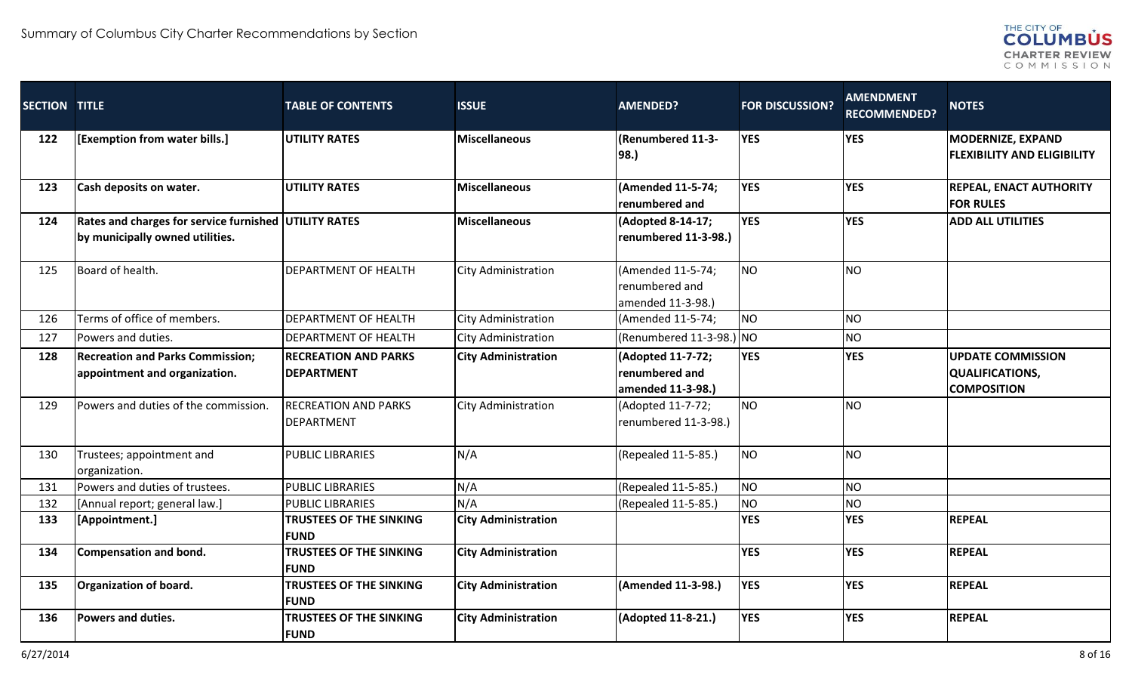

| <b>SECTION TITLE</b> |                                                                                                 | <b>TABLE OF CONTENTS</b>                         | <b>ISSUE</b>               | <b>AMENDED?</b>                                          | <b>FOR DISCUSSION?</b> | <b>AMENDMENT</b><br><b>RECOMMENDED?</b> | <b>NOTES</b>                                                      |
|----------------------|-------------------------------------------------------------------------------------------------|--------------------------------------------------|----------------------------|----------------------------------------------------------|------------------------|-----------------------------------------|-------------------------------------------------------------------|
| 122                  | [Exemption from water bills.]                                                                   | <b>UTILITY RATES</b>                             | <b>Miscellaneous</b>       | (Renumbered 11-3-<br>98.)                                | <b>YES</b>             | <b>YES</b>                              | <b>MODERNIZE, EXPAND</b><br><b>FLEXIBILITY AND ELIGIBILITY</b>    |
| 123                  | Cash deposits on water.                                                                         | <b>UTILITY RATES</b>                             | <b>Miscellaneous</b>       | (Amended 11-5-74;<br>renumbered and                      | <b>YES</b>             | <b>YES</b>                              | <b>REPEAL, ENACT AUTHORITY</b><br><b>FOR RULES</b>                |
| 124                  | <b>Rates and charges for service furnished UTILITY RATES</b><br>by municipally owned utilities. |                                                  | Miscellaneous              | (Adopted 8-14-17;<br>renumbered 11-3-98.)                | <b>YES</b>             | <b>YES</b>                              | <b>ADD ALL UTILITIES</b>                                          |
| 125                  | Board of health.                                                                                | <b>DEPARTMENT OF HEALTH</b>                      | <b>City Administration</b> | (Amended 11-5-74;<br>renumbered and<br>amended 11-3-98.) | <b>NO</b>              | <b>NO</b>                               |                                                                   |
| 126                  | Terms of office of members.                                                                     | <b>DEPARTMENT OF HEALTH</b>                      | <b>City Administration</b> | (Amended 11-5-74;                                        | <b>NO</b>              | <b>NO</b>                               |                                                                   |
| 127                  | Powers and duties.                                                                              | <b>DEPARTMENT OF HEALTH</b>                      | <b>City Administration</b> | (Renumbered $11-3-98$ .) NO                              |                        | <b>NO</b>                               |                                                                   |
| 128                  | <b>Recreation and Parks Commission;</b><br>appointment and organization.                        | <b>RECREATION AND PARKS</b><br><b>DEPARTMENT</b> | <b>City Administration</b> | (Adopted 11-7-72;<br>renumbered and<br>amended 11-3-98.) | <b>YES</b>             | <b>YES</b>                              | <b>UPDATE COMMISSION</b><br>QUALIFICATIONS,<br><b>COMPOSITION</b> |
| 129                  | Powers and duties of the commission.                                                            | <b>RECREATION AND PARKS</b><br><b>DEPARTMENT</b> | <b>City Administration</b> | (Adopted 11-7-72;<br>renumbered 11-3-98.)                | <b>NO</b>              | <b>NO</b>                               |                                                                   |
| 130                  | Trustees; appointment and<br>organization.                                                      | <b>PUBLIC LIBRARIES</b>                          | N/A                        | (Repealed 11-5-85.)                                      | <b>NO</b>              | <b>NO</b>                               |                                                                   |
| 131                  | Powers and duties of trustees.                                                                  | <b>PUBLIC LIBRARIES</b>                          | N/A                        | (Repealed 11-5-85.)                                      | NO                     | <b>NO</b>                               |                                                                   |
| 132                  | [Annual report; general law.]                                                                   | <b>PUBLIC LIBRARIES</b>                          | N/A                        | (Repealed 11-5-85.)                                      | NO                     | <b>NO</b>                               |                                                                   |
| 133                  | [Appointment.]                                                                                  | <b>TRUSTEES OF THE SINKING</b><br><b>IFUND</b>   | <b>City Administration</b> |                                                          | <b>YES</b>             | <b>YES</b>                              | <b>REPEAL</b>                                                     |
| 134                  | Compensation and bond.                                                                          | TRUSTEES OF THE SINKING<br><b>FUND</b>           | <b>City Administration</b> |                                                          | <b>YES</b>             | <b>YES</b>                              | <b>REPEAL</b>                                                     |
| 135                  | Organization of board.                                                                          | <b>TRUSTEES OF THE SINKING</b><br><b>FUND</b>    | <b>City Administration</b> | (Amended 11-3-98.)                                       | <b>YES</b>             | <b>YES</b>                              | <b>REPEAL</b>                                                     |
| 136                  | Powers and duties.                                                                              | TRUSTEES OF THE SINKING<br><b>FUND</b>           | <b>City Administration</b> | (Adopted 11-8-21.)                                       | <b>YES</b>             | <b>YES</b>                              | <b>REPEAL</b>                                                     |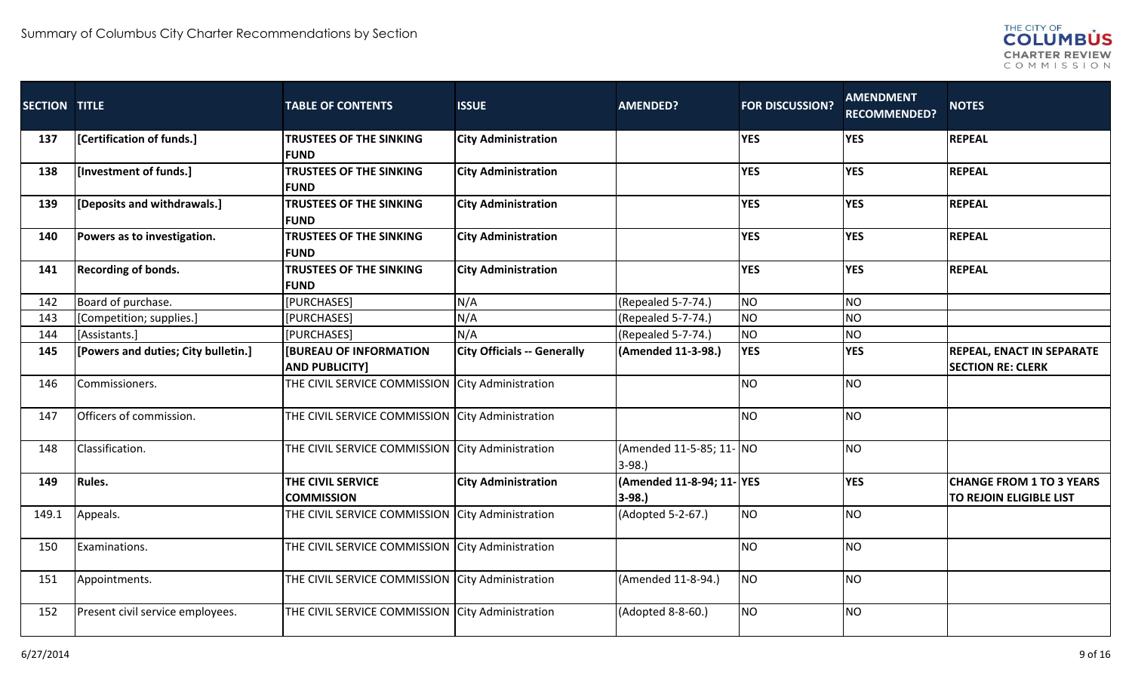

| <b>SECTION TITLE</b> |                                     | <b>TABLE OF CONTENTS</b>                               | <b>ISSUE</b>                       | <b>AMENDED?</b>                      | <b>FOR DISCUSSION?</b> | <b>AMENDMENT</b><br><b>RECOMMENDED?</b> | <b>NOTES</b>                                                 |
|----------------------|-------------------------------------|--------------------------------------------------------|------------------------------------|--------------------------------------|------------------------|-----------------------------------------|--------------------------------------------------------------|
| 137                  | [Certification of funds.]           | <b>TRUSTEES OF THE SINKING</b><br><b>FUND</b>          | <b>City Administration</b>         |                                      | <b>YES</b>             | <b>YES</b>                              | <b>REPEAL</b>                                                |
| 138                  | [Investment of funds.]              | <b>TRUSTEES OF THE SINKING</b><br><b>FUND</b>          | <b>City Administration</b>         |                                      | <b>YES</b>             | <b>YES</b>                              | <b>REPEAL</b>                                                |
| 139                  | [Deposits and withdrawals.]         | <b>TRUSTEES OF THE SINKING</b><br><b>FUND</b>          | <b>City Administration</b>         |                                      | <b>YES</b>             | <b>YES</b>                              | <b>REPEAL</b>                                                |
| 140                  | Powers as to investigation.         | <b>TRUSTEES OF THE SINKING</b><br><b>IFUND</b>         | <b>City Administration</b>         |                                      | <b>YES</b>             | <b>YES</b>                              | <b>REPEAL</b>                                                |
| 141                  | Recording of bonds.                 | <b>TRUSTEES OF THE SINKING</b><br><b>FUND</b>          | <b>City Administration</b>         |                                      | <b>YES</b>             | <b>YES</b>                              | <b>REPEAL</b>                                                |
| 142                  | Board of purchase.                  | [PURCHASES]                                            | N/A                                | (Repealed 5-7-74.)                   | <b>NO</b>              | <b>NO</b>                               |                                                              |
| 143                  | [Competition; supplies.]            | [PURCHASES]                                            | N/A                                | (Repealed 5-7-74.)                   | NO <sub>1</sub>        | N <sub>O</sub>                          |                                                              |
| 144                  | [Assistants.]                       | [PURCHASES]                                            | N/A                                | (Repealed 5-7-74.)                   | NO                     | N <sub>O</sub>                          |                                                              |
| 145                  | [Powers and duties; City bulletin.] | <b>IBUREAU OF INFORMATION</b><br><b>AND PUBLICITY]</b> | <b>City Officials -- Generally</b> | (Amended 11-3-98.)                   | <b>YES</b>             | <b>YES</b>                              | <b>REPEAL, ENACT IN SEPARATE</b><br><b>SECTION RE: CLERK</b> |
| 146                  | Commissioners.                      | THE CIVIL SERVICE COMMISSION City Administration       |                                    |                                      | NO                     | <b>NO</b>                               |                                                              |
| 147                  | Officers of commission.             | THE CIVIL SERVICE COMMISSION City Administration       |                                    |                                      | <b>NO</b>              | N <sub>O</sub>                          |                                                              |
| 148                  | Classification.                     | THE CIVIL SERVICE COMMISSION City Administration       |                                    | (Amended 11-5-85; 11- NO<br>$3-98.$  |                        | <b>NO</b>                               |                                                              |
| 149                  | <b>Rules.</b>                       | THE CIVIL SERVICE<br><b>COMMISSION</b>                 | <b>City Administration</b>         | (Amended 11-8-94; 11-YES<br>$ 3-98.$ |                        | <b>YES</b>                              | <b>CHANGE FROM 1 TO 3 YEARS</b><br>TO REJOIN ELIGIBLE LIST   |
| 149.1                | Appeals.                            | THE CIVIL SERVICE COMMISSION City Administration       |                                    | (Adopted 5-2-67.)                    | <b>NO</b>              | N <sub>O</sub>                          |                                                              |
| 150                  | Examinations.                       | THE CIVIL SERVICE COMMISSION City Administration       |                                    |                                      | NO                     | N <sub>O</sub>                          |                                                              |
| 151                  | Appointments.                       | THE CIVIL SERVICE COMMISSION City Administration       |                                    | (Amended 11-8-94.)                   | <b>NO</b>              | <b>NO</b>                               |                                                              |
| 152                  | Present civil service employees.    | THE CIVIL SERVICE COMMISSION City Administration       |                                    | (Adopted 8-8-60.)                    | <b>NO</b>              | <b>NO</b>                               |                                                              |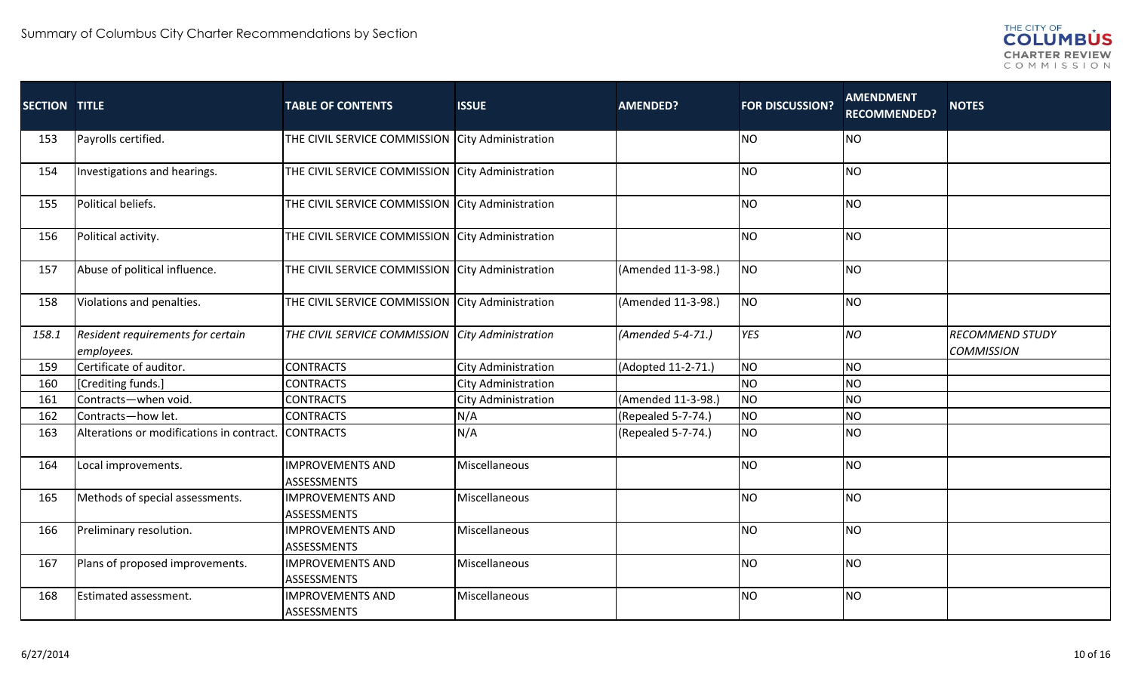

| <b>SECTION TITLE</b> |                                                 | <b>TABLE OF CONTENTS</b>                         | <b>ISSUE</b>               | <b>AMENDED?</b>    | <b>FOR DISCUSSION?</b> | <b>AMENDMENT</b><br><b>RECOMMENDED?</b> | <b>NOTES</b>                                |
|----------------------|-------------------------------------------------|--------------------------------------------------|----------------------------|--------------------|------------------------|-----------------------------------------|---------------------------------------------|
| 153                  | Payrolls certified.                             | THE CIVIL SERVICE COMMISSION City Administration |                            |                    | <b>NO</b>              | <b>NO</b>                               |                                             |
| 154                  | Investigations and hearings.                    | THE CIVIL SERVICE COMMISSION City Administration |                            |                    | <b>NO</b>              | <b>NO</b>                               |                                             |
| 155                  | Political beliefs.                              | THE CIVIL SERVICE COMMISSION City Administration |                            |                    | <b>NO</b>              | N <sub>O</sub>                          |                                             |
| 156                  | Political activity.                             | THE CIVIL SERVICE COMMISSION City Administration |                            |                    | <b>NO</b>              | <b>NO</b>                               |                                             |
| 157                  | Abuse of political influence.                   | THE CIVIL SERVICE COMMISSION City Administration |                            | (Amended 11-3-98.) | NO                     | N <sub>O</sub>                          |                                             |
| 158                  | Violations and penalties.                       | THE CIVIL SERVICE COMMISSION City Administration |                            | (Amended 11-3-98.) | <b>NO</b>              | <b>NO</b>                               |                                             |
| 158.1                | Resident requirements for certain<br>employees. | THE CIVIL SERVICE COMMISSION City Administration |                            | (Amended 5-4-71.)  | YES                    | <b>NO</b>                               | <b>RECOMMEND STUDY</b><br><b>COMMISSION</b> |
| 159                  | Certificate of auditor.                         | <b>CONTRACTS</b>                                 | <b>City Administration</b> | (Adopted 11-2-71.) | <b>NO</b>              | <b>NO</b>                               |                                             |
| 160                  | [Crediting funds.]                              | <b>CONTRACTS</b>                                 | City Administration        |                    | <b>NO</b>              | NO                                      |                                             |
| 161                  | Contracts-when void.                            | <b>CONTRACTS</b>                                 | <b>City Administration</b> | (Amended 11-3-98.) | <b>NO</b>              | <b>NO</b>                               |                                             |
| 162                  | Contracts-how let.                              | <b>CONTRACTS</b>                                 | N/A                        | (Repealed 5-7-74.) | <b>NO</b>              | <b>NO</b>                               |                                             |
| 163                  | Alterations or modifications in contract.       | <b>CONTRACTS</b>                                 | N/A                        | (Repealed 5-7-74.) | <b>NO</b>              | <b>NO</b>                               |                                             |
| 164                  | Local improvements.                             | <b>IMPROVEMENTS AND</b><br><b>ASSESSMENTS</b>    | Miscellaneous              |                    | <b>NO</b>              | <b>NO</b>                               |                                             |
| 165                  | Methods of special assessments.                 | <b>IMPROVEMENTS AND</b><br><b>ASSESSMENTS</b>    | Miscellaneous              |                    | <b>NO</b>              | <b>NO</b>                               |                                             |
| 166                  | Preliminary resolution.                         | <b>IMPROVEMENTS AND</b><br>ASSESSMENTS           | Miscellaneous              |                    | <b>NO</b>              | <b>NO</b>                               |                                             |
| 167                  | Plans of proposed improvements.                 | <b>IMPROVEMENTS AND</b><br><b>ASSESSMENTS</b>    | Miscellaneous              |                    | <b>NO</b>              | N <sub>O</sub>                          |                                             |
| 168                  | Estimated assessment.                           | <b>IMPROVEMENTS AND</b><br>ASSESSMENTS           | Miscellaneous              |                    | <b>NO</b>              | <b>NO</b>                               |                                             |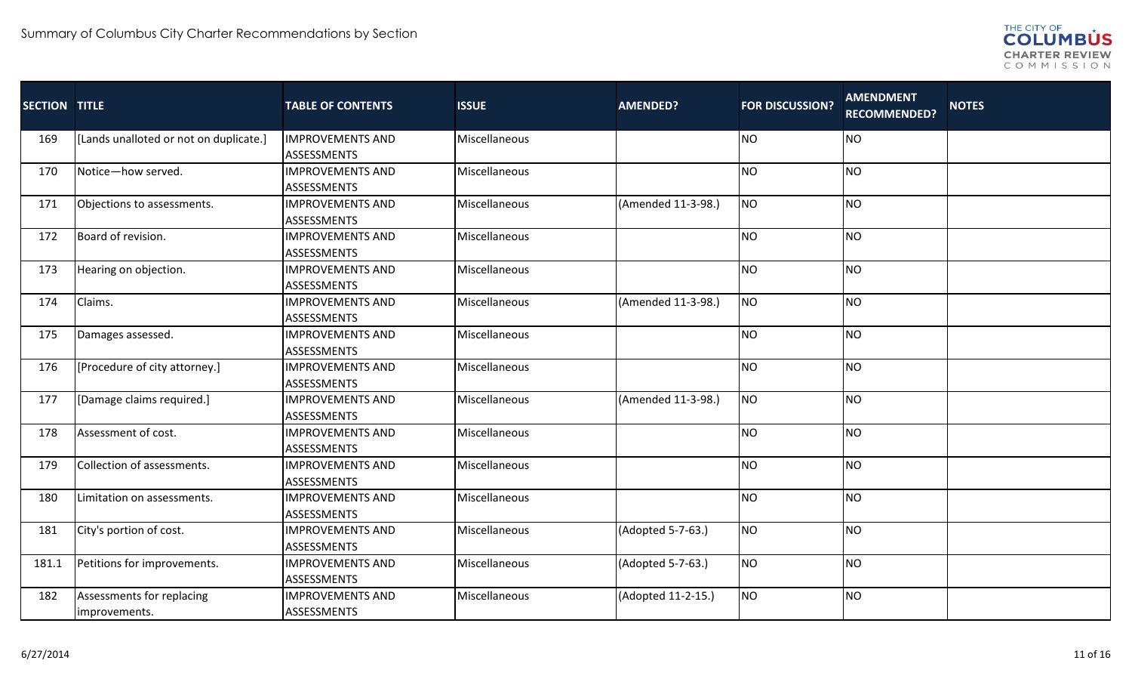

| <b>SECTION TITLE</b> |                                            | <b>TABLE OF CONTENTS</b>                      | <b>ISSUE</b>  | <b>AMENDED?</b>    | <b>FOR DISCUSSION?</b> | <b>AMENDMENT</b><br><b>RECOMMENDED?</b> | <b>NOTES</b> |
|----------------------|--------------------------------------------|-----------------------------------------------|---------------|--------------------|------------------------|-----------------------------------------|--------------|
| 169                  | [Lands unalloted or not on duplicate.]     | <b>IMPROVEMENTS AND</b><br><b>ASSESSMENTS</b> | Miscellaneous |                    | <b>NO</b>              | <b>NO</b>                               |              |
| 170                  | Notice-how served.                         | <b>IMPROVEMENTS AND</b><br>ASSESSMENTS        | Miscellaneous |                    | <b>NO</b>              | <b>NO</b>                               |              |
| 171                  | Objections to assessments.                 | <b>IMPROVEMENTS AND</b><br><b>ASSESSMENTS</b> | Miscellaneous | (Amended 11-3-98.) | NO                     | <b>NO</b>                               |              |
| 172                  | Board of revision.                         | <b>IMPROVEMENTS AND</b><br><b>ASSESSMENTS</b> | Miscellaneous |                    | <b>NO</b>              | <b>NO</b>                               |              |
| 173                  | Hearing on objection.                      | <b>IMPROVEMENTS AND</b><br><b>ASSESSMENTS</b> | Miscellaneous |                    | <b>NO</b>              | <b>NO</b>                               |              |
| 174                  | Claims.                                    | <b>IMPROVEMENTS AND</b><br><b>ASSESSMENTS</b> | Miscellaneous | (Amended 11-3-98.) | NO                     | <b>NO</b>                               |              |
| 175                  | Damages assessed.                          | <b>IMPROVEMENTS AND</b><br><b>ASSESSMENTS</b> | Miscellaneous |                    | <b>NO</b>              | <b>NO</b>                               |              |
| 176                  | [Procedure of city attorney.]              | <b>IMPROVEMENTS AND</b><br><b>ASSESSMENTS</b> | Miscellaneous |                    | <b>NO</b>              | <b>NO</b>                               |              |
| 177                  | [Damage claims required.]                  | <b>IMPROVEMENTS AND</b><br><b>ASSESSMENTS</b> | Miscellaneous | (Amended 11-3-98.) | <b>NO</b>              | <b>NO</b>                               |              |
| 178                  | Assessment of cost.                        | <b>IMPROVEMENTS AND</b><br><b>ASSESSMENTS</b> | Miscellaneous |                    | <b>NO</b>              | <b>NO</b>                               |              |
| 179                  | Collection of assessments.                 | <b>IMPROVEMENTS AND</b><br><b>ASSESSMENTS</b> | Miscellaneous |                    | <b>NO</b>              | <b>NO</b>                               |              |
| 180                  | Limitation on assessments.                 | <b>IMPROVEMENTS AND</b><br><b>ASSESSMENTS</b> | Miscellaneous |                    | <b>NO</b>              | <b>NO</b>                               |              |
| 181                  | City's portion of cost.                    | <b>IMPROVEMENTS AND</b><br><b>ASSESSMENTS</b> | Miscellaneous | (Adopted 5-7-63.)  | NO                     | <b>NO</b>                               |              |
| 181.1                | Petitions for improvements.                | <b>IMPROVEMENTS AND</b><br><b>ASSESSMENTS</b> | Miscellaneous | (Adopted 5-7-63.)  | <b>NO</b>              | <b>NO</b>                               |              |
| 182                  | Assessments for replacing<br>improvements. | <b>IMPROVEMENTS AND</b><br><b>ASSESSMENTS</b> | Miscellaneous | (Adopted 11-2-15.) | NO                     | <b>NO</b>                               |              |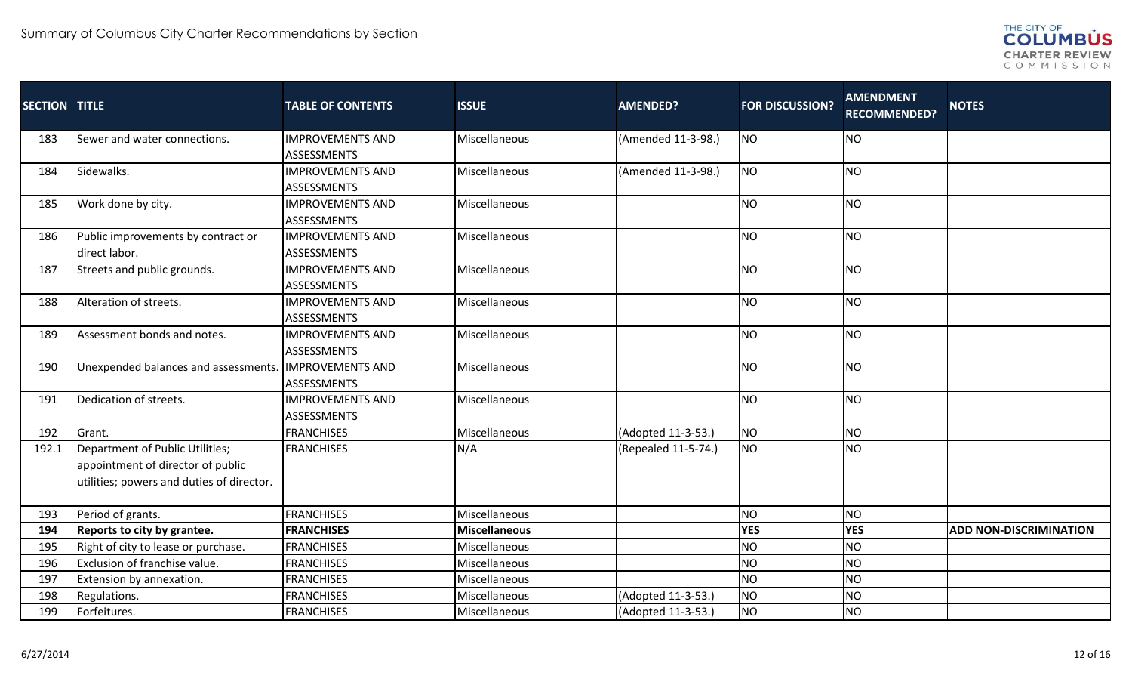

| <b>SECTION TITLE</b> |                                                                                                                   | <b>TABLE OF CONTENTS</b>                      | <b>ISSUE</b>         | <b>AMENDED?</b>     | <b>FOR DISCUSSION?</b> | <b>AMENDMENT</b><br><b>RECOMMENDED?</b> | <b>NOTES</b>                  |
|----------------------|-------------------------------------------------------------------------------------------------------------------|-----------------------------------------------|----------------------|---------------------|------------------------|-----------------------------------------|-------------------------------|
| 183                  | Sewer and water connections.                                                                                      | <b>IMPROVEMENTS AND</b><br><b>ASSESSMENTS</b> | Miscellaneous        | (Amended 11-3-98.)  | <b>NO</b>              | <b>NO</b>                               |                               |
| 184                  | Sidewalks.                                                                                                        | <b>IMPROVEMENTS AND</b><br><b>ASSESSMENTS</b> | Miscellaneous        | (Amended 11-3-98.)  | <b>NO</b>              | <b>NO</b>                               |                               |
| 185                  | Work done by city.                                                                                                | <b>IMPROVEMENTS AND</b><br><b>ASSESSMENTS</b> | Miscellaneous        |                     | <b>NO</b>              | <b>NO</b>                               |                               |
| 186                  | Public improvements by contract or<br>direct labor.                                                               | <b>IMPROVEMENTS AND</b><br>ASSESSMENTS        | Miscellaneous        |                     | <b>NO</b>              | NO                                      |                               |
| 187                  | Streets and public grounds.                                                                                       | <b>IMPROVEMENTS AND</b><br><b>ASSESSMENTS</b> | Miscellaneous        |                     | <b>NO</b>              | <b>NO</b>                               |                               |
| 188                  | Alteration of streets.                                                                                            | <b>IMPROVEMENTS AND</b><br><b>ASSESSMENTS</b> | Miscellaneous        |                     | <b>NO</b>              | <b>NO</b>                               |                               |
| 189                  | Assessment bonds and notes.                                                                                       | <b>IMPROVEMENTS AND</b><br><b>ASSESSMENTS</b> | Miscellaneous        |                     | <b>NO</b>              | <b>NO</b>                               |                               |
| 190                  | Unexpended balances and assessments.                                                                              | <b>IMPROVEMENTS AND</b><br>ASSESSMENTS        | Miscellaneous        |                     | <b>NO</b>              | <b>NO</b>                               |                               |
| 191                  | Dedication of streets.                                                                                            | <b>IMPROVEMENTS AND</b><br>ASSESSMENTS        | Miscellaneous        |                     | <b>NO</b>              | <b>NO</b>                               |                               |
| 192                  | Grant.                                                                                                            | <b>FRANCHISES</b>                             | Miscellaneous        | (Adopted 11-3-53.)  | <b>NO</b>              | <b>NO</b>                               |                               |
| 192.1                | Department of Public Utilities;<br>appointment of director of public<br>utilities; powers and duties of director. | <b>FRANCHISES</b>                             | N/A                  | (Repealed 11-5-74.) | <b>NO</b>              | <b>NO</b>                               |                               |
| 193                  | Period of grants.                                                                                                 | <b>FRANCHISES</b>                             | Miscellaneous        |                     | <b>NO</b>              | <b>NO</b>                               |                               |
| 194                  | <b>Reports to city by grantee.</b>                                                                                | <b>FRANCHISES</b>                             | <b>Miscellaneous</b> |                     | <b>YES</b>             | <b>YES</b>                              | <b>ADD NON-DISCRIMINATION</b> |
| 195                  | Right of city to lease or purchase.                                                                               | <b>FRANCHISES</b>                             | Miscellaneous        |                     | <b>NO</b>              | <b>NO</b>                               |                               |
| 196                  | Exclusion of franchise value.                                                                                     | <b>FRANCHISES</b>                             | Miscellaneous        |                     | <b>NO</b>              | <b>NO</b>                               |                               |
| 197                  | Extension by annexation.                                                                                          | <b>FRANCHISES</b>                             | Miscellaneous        |                     | <b>NO</b>              | <b>NO</b>                               |                               |
| 198                  | Regulations.                                                                                                      | <b>FRANCHISES</b>                             | Miscellaneous        | (Adopted 11-3-53.)  | <b>NO</b>              | <b>NO</b>                               |                               |
| 199                  | Forfeitures.                                                                                                      | <b>FRANCHISES</b>                             | Miscellaneous        | (Adopted 11-3-53.)  | <b>NO</b>              | <b>NO</b>                               |                               |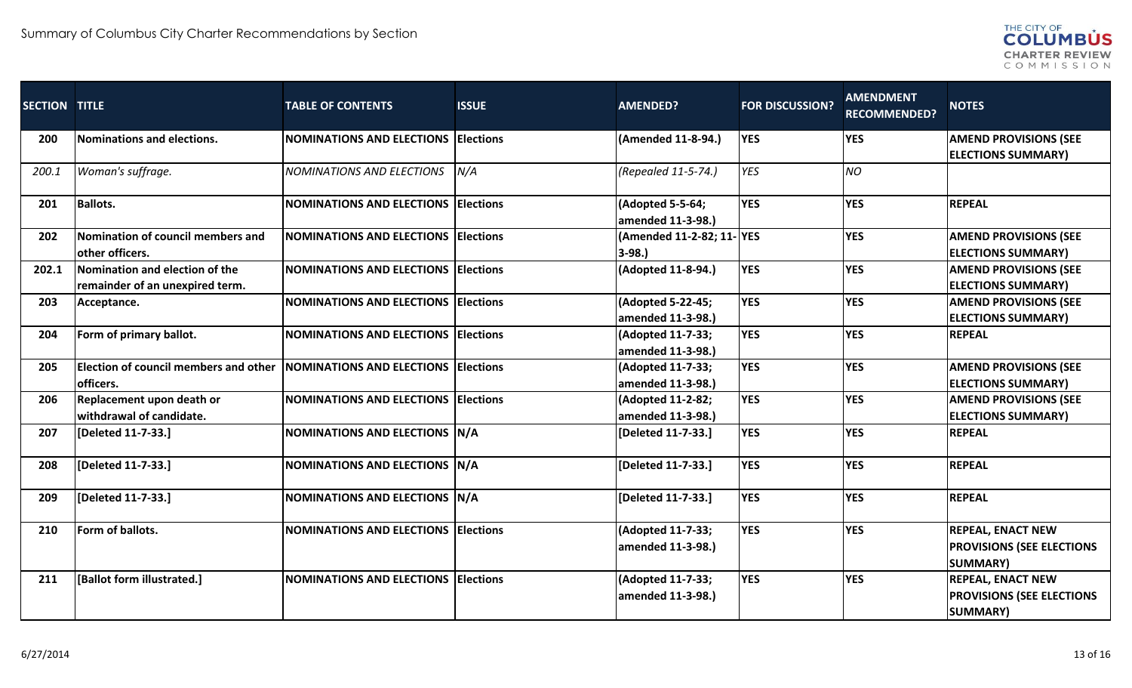

| <b>SECTION TITLE</b> |                                              | <b>TABLE OF CONTENTS</b>                   | <b>ISSUE</b>      | <b>AMENDED?</b>                       | <b>FOR DISCUSSION?</b> | <b>AMENDMENT</b><br><b>RECOMMENDED?</b> | <b>NOTES</b>                     |
|----------------------|----------------------------------------------|--------------------------------------------|-------------------|---------------------------------------|------------------------|-----------------------------------------|----------------------------------|
| 200                  | Nominations and elections.                   | <b>NOMINATIONS AND ELECTIONS</b>           | <b>Elections</b>  | (Amended 11-8-94.)                    | <b>YES</b>             | <b>YES</b>                              | <b>AMEND PROVISIONS (SEE</b>     |
|                      |                                              |                                            |                   |                                       |                        |                                         | <b>ELECTIONS SUMMARY)</b>        |
| 200.1                | Woman's suffrage.                            | <b>NOMINATIONS AND ELECTIONS</b>           | N/A               | (Repealed 11-5-74.)                   | <b>YES</b>             | <b>NO</b>                               |                                  |
| 201                  | <b>Ballots.</b>                              | <b>NOMINATIONS AND ELECTIONS</b>           | <b>Elections</b>  | (Adopted 5-5-64;<br>amended 11-3-98.) | <b>YES</b>             | <b>YES</b>                              | <b>REPEAL</b>                    |
| 202                  | Nomination of council members and            | <b>NOMINATIONS AND ELECTIONS</b>           | <b>Elections</b>  | (Amended 11-2-82; 11-YES              |                        | <b>YES</b>                              | <b>AMEND PROVISIONS (SEE</b>     |
|                      | other officers.                              |                                            |                   | $3-98.$                               |                        |                                         | <b>ELECTIONS SUMMARY)</b>        |
| 202.1                | Nomination and election of the               | <b>NOMINATIONS AND ELECTIONS</b>           | <b>IElections</b> | (Adopted 11-8-94.)                    | <b>YES</b>             | <b>YES</b>                              | <b>AMEND PROVISIONS (SEE</b>     |
|                      | remainder of an unexpired term.              |                                            |                   |                                       |                        |                                         | <b>ELECTIONS SUMMARY)</b>        |
| 203                  | Acceptance.                                  | <b>NOMINATIONS AND ELECTIONS</b>           | <b>Elections</b>  | (Adopted 5-22-45;                     | <b>YES</b>             | <b>YES</b>                              | <b>AMEND PROVISIONS (SEE</b>     |
|                      |                                              |                                            |                   | amended 11-3-98.)                     |                        |                                         | <b>ELECTIONS SUMMARY)</b>        |
| 204                  | Form of primary ballot.                      | <b>NOMINATIONS AND ELECTIONS</b>           | <b>Elections</b>  | (Adopted 11-7-33;                     | <b>YES</b>             | <b>YES</b>                              | <b>REPEAL</b>                    |
|                      |                                              |                                            |                   | amended 11-3-98.)                     |                        |                                         |                                  |
| 205                  | <b>Election of council members and other</b> | <b>NOMINATIONS AND ELECTIONS</b>           | <b>Elections</b>  | (Adopted 11-7-33;                     | <b>YES</b>             | <b>YES</b>                              | <b>AMEND PROVISIONS (SEE</b>     |
|                      | officers.                                    |                                            |                   | amended 11-3-98.)                     |                        |                                         | <b>ELECTIONS SUMMARY)</b>        |
| 206                  | Replacement upon death or                    | <b>NOMINATIONS AND ELECTIONS Elections</b> |                   | (Adopted 11-2-82;                     | <b>YES</b>             | <b>YES</b>                              | <b>AMEND PROVISIONS (SEE</b>     |
|                      | withdrawal of candidate.                     |                                            |                   | amended 11-3-98.)                     |                        |                                         | <b>ELECTIONS SUMMARY)</b>        |
| 207                  | [Deleted 11-7-33.]                           | NOMINATIONS AND ELECTIONS N/A              |                   | [Deleted 11-7-33.]                    | <b>YES</b>             | <b>YES</b>                              | <b>REPEAL</b>                    |
| 208                  | [Deleted 11-7-33.]                           | <b>NOMINATIONS AND ELECTIONS N/A</b>       |                   | [Deleted 11-7-33.]                    | <b>YES</b>             | <b>YES</b>                              | <b>REPEAL</b>                    |
| 209                  | [Deleted 11-7-33.]                           | <b>NOMINATIONS AND ELECTIONS N/A</b>       |                   | [Deleted 11-7-33.]                    | <b>YES</b>             | <b>YES</b>                              | <b>REPEAL</b>                    |
| 210                  | Form of ballots.                             | <b>NOMINATIONS AND ELECTIONS Elections</b> |                   | (Adopted 11-7-33;                     | <b>YES</b>             | <b>YES</b>                              | <b>REPEAL, ENACT NEW</b>         |
|                      |                                              |                                            |                   | amended 11-3-98.)                     |                        |                                         | <b>PROVISIONS (SEE ELECTIONS</b> |
|                      |                                              |                                            |                   |                                       |                        |                                         | <b>SUMMARY)</b>                  |
| 211                  | [Ballot form illustrated.]                   | <b>NOMINATIONS AND ELECTIONS Elections</b> |                   | (Adopted 11-7-33;                     | <b>YES</b>             | <b>YES</b>                              | <b>REPEAL, ENACT NEW</b>         |
|                      |                                              |                                            |                   | amended 11-3-98.)                     |                        |                                         | <b>PROVISIONS (SEE ELECTIONS</b> |
|                      |                                              |                                            |                   |                                       |                        |                                         | <b>SUMMARY)</b>                  |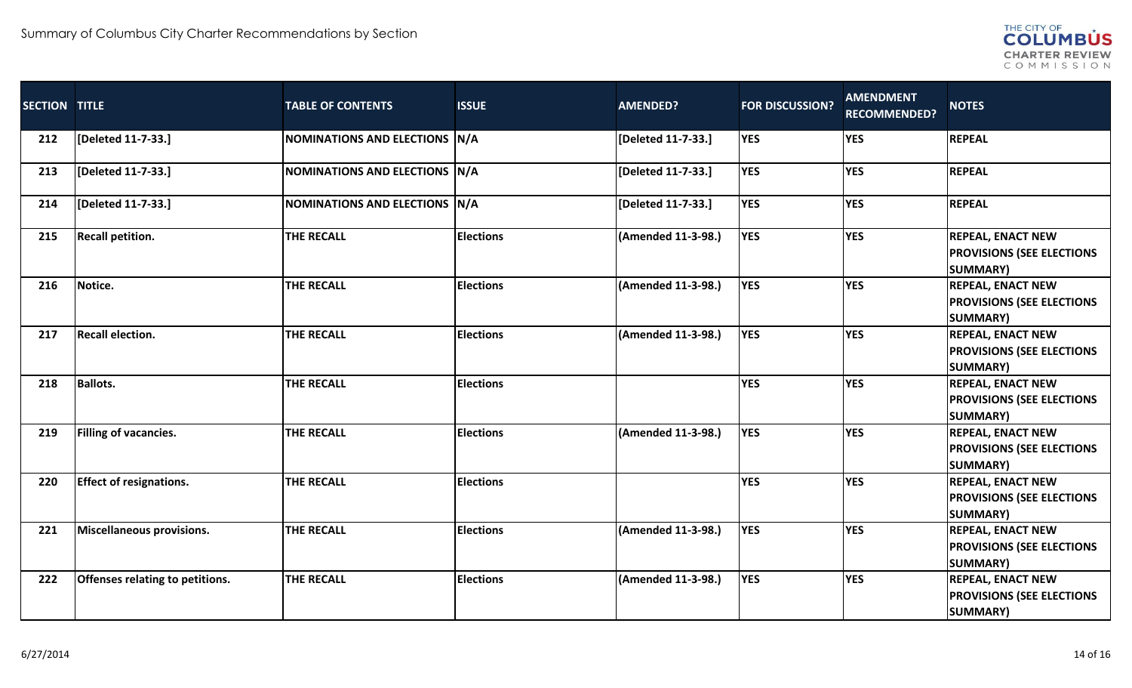

| SECTION TITLE |                                  | <b>TABLE OF CONTENTS</b>      | <b>ISSUE</b>     | <b>AMENDED?</b>    | <b>FOR DISCUSSION?</b> | <b>AMENDMENT</b><br><b>RECOMMENDED?</b> | <b>NOTES</b>                                                                    |
|---------------|----------------------------------|-------------------------------|------------------|--------------------|------------------------|-----------------------------------------|---------------------------------------------------------------------------------|
| 212           | [Deleted 11-7-33.]               | NOMINATIONS AND ELECTIONS N/A |                  | [Deleted 11-7-33.] | <b>YES</b>             | <b>YES</b>                              | <b>REPEAL</b>                                                                   |
| 213           | [Deleted 11-7-33.]               | NOMINATIONS AND ELECTIONS N/A |                  | [Deleted 11-7-33.] | <b>YES</b>             | <b>YES</b>                              | <b>REPEAL</b>                                                                   |
| 214           | [Deleted 11-7-33.]               | NOMINATIONS AND ELECTIONS N/A |                  | [Deleted 11-7-33.] | <b>YES</b>             | <b>YES</b>                              | <b>REPEAL</b>                                                                   |
| 215           | <b>Recall petition.</b>          | <b>THE RECALL</b>             | <b>Elections</b> | (Amended 11-3-98.) | <b>YES</b>             | <b>YES</b>                              | <b>REPEAL, ENACT NEW</b><br><b>PROVISIONS (SEE ELECTIONS</b><br><b>SUMMARY)</b> |
| 216           | Notice.                          | <b>THE RECALL</b>             | <b>Elections</b> | (Amended 11-3-98.) | <b>YES</b>             | <b>YES</b>                              | <b>REPEAL, ENACT NEW</b><br><b>PROVISIONS (SEE ELECTIONS</b><br><b>SUMMARY)</b> |
| 217           | <b>Recall election.</b>          | <b>THE RECALL</b>             | <b>Elections</b> | (Amended 11-3-98.) | <b>YES</b>             | <b>YES</b>                              | <b>REPEAL, ENACT NEW</b><br><b>PROVISIONS (SEE ELECTIONS</b><br><b>SUMMARY)</b> |
| 218           | <b>Ballots.</b>                  | <b>THE RECALL</b>             | <b>Elections</b> |                    | <b>YES</b>             | <b>YES</b>                              | <b>REPEAL, ENACT NEW</b><br><b>PROVISIONS (SEE ELECTIONS</b><br><b>SUMMARY)</b> |
| 219           | Filling of vacancies.            | <b>THE RECALL</b>             | <b>Elections</b> | (Amended 11-3-98.) | <b>YES</b>             | <b>YES</b>                              | <b>REPEAL, ENACT NEW</b><br><b>PROVISIONS (SEE ELECTIONS</b><br><b>SUMMARY)</b> |
| 220           | <b>Effect of resignations.</b>   | <b>THE RECALL</b>             | <b>Elections</b> |                    | <b>YES</b>             | <b>YES</b>                              | <b>REPEAL, ENACT NEW</b><br><b>PROVISIONS (SEE ELECTIONS</b><br><b>SUMMARY)</b> |
| 221           | <b>Miscellaneous provisions.</b> | <b>THE RECALL</b>             | <b>Elections</b> | (Amended 11-3-98.) | <b>YES</b>             | <b>YES</b>                              | <b>REPEAL, ENACT NEW</b><br><b>PROVISIONS (SEE ELECTIONS</b><br><b>SUMMARY)</b> |
| 222           | Offenses relating to petitions.  | <b>THE RECALL</b>             | <b>Elections</b> | (Amended 11-3-98.) | <b>YES</b>             | <b>YES</b>                              | <b>REPEAL, ENACT NEW</b><br><b>PROVISIONS (SEE ELECTIONS</b><br><b>SUMMARY)</b> |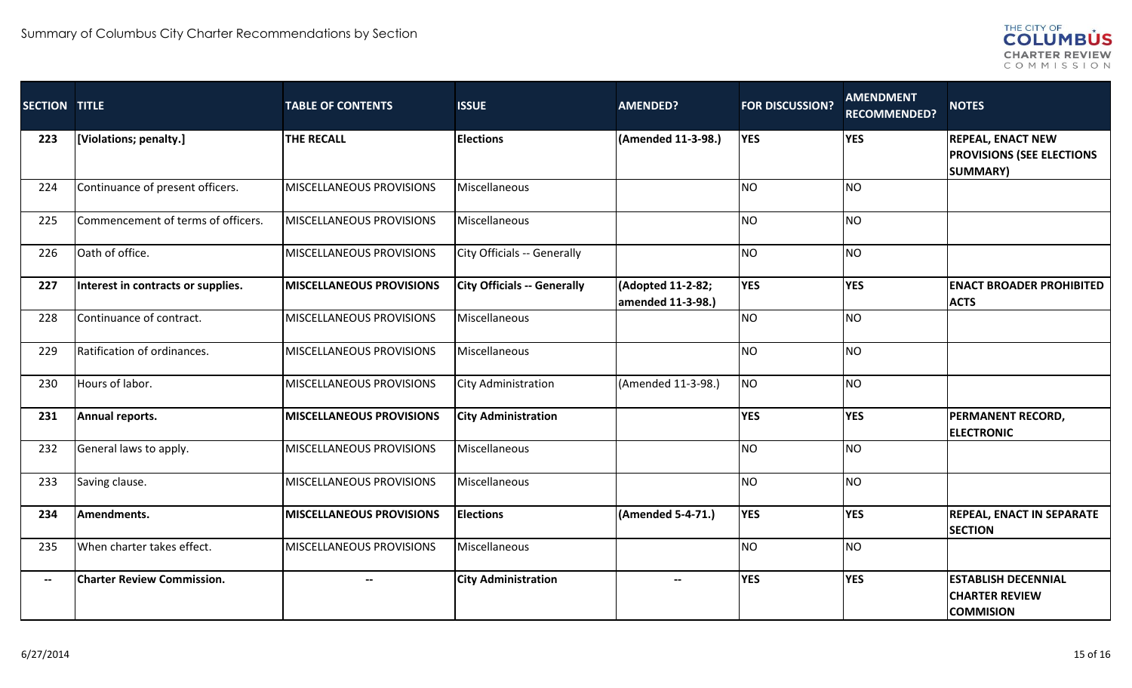

| <b>SECTION TITLE</b>     |                                    | <b>TABLE OF CONTENTS</b>        | <b>ISSUE</b>                       | <b>AMENDED?</b>                        | <b>FOR DISCUSSION?</b> | <b>AMENDMENT</b><br><b>RECOMMENDED?</b> | <b>NOTES</b>                                                                    |
|--------------------------|------------------------------------|---------------------------------|------------------------------------|----------------------------------------|------------------------|-----------------------------------------|---------------------------------------------------------------------------------|
| 223                      | [Violations; penalty.]             | <b>THE RECALL</b>               | <b>Elections</b>                   | (Amended 11-3-98.)                     | <b>YES</b>             | <b>YES</b>                              | <b>REPEAL, ENACT NEW</b><br><b>PROVISIONS (SEE ELECTIONS</b><br><b>SUMMARY)</b> |
| 224                      | Continuance of present officers.   | MISCELLANEOUS PROVISIONS        | Miscellaneous                      |                                        | <b>NO</b>              | <b>NO</b>                               |                                                                                 |
| 225                      | Commencement of terms of officers. | MISCELLANEOUS PROVISIONS        | Miscellaneous                      |                                        | <b>NO</b>              | <b>NO</b>                               |                                                                                 |
| 226                      | Oath of office.                    | MISCELLANEOUS PROVISIONS        | City Officials -- Generally        |                                        | NO                     | <b>NO</b>                               |                                                                                 |
| 227                      | Interest in contracts or supplies. | <b>MISCELLANEOUS PROVISIONS</b> | <b>City Officials -- Generally</b> | (Adopted 11-2-82;<br>amended 11-3-98.) | <b>YES</b>             | <b>YES</b>                              | <b>ENACT BROADER PROHIBITED</b><br><b>ACTS</b>                                  |
| 228                      | Continuance of contract.           | MISCELLANEOUS PROVISIONS        | Miscellaneous                      |                                        | NO <sub>1</sub>        | N <sub>O</sub>                          |                                                                                 |
| 229                      | Ratification of ordinances.        | MISCELLANEOUS PROVISIONS        | Miscellaneous                      |                                        | <b>NO</b>              | <b>NO</b>                               |                                                                                 |
| 230                      | Hours of labor.                    | MISCELLANEOUS PROVISIONS        | City Administration                | (Amended 11-3-98.)                     | <b>NO</b>              | <b>NO</b>                               |                                                                                 |
| 231                      | Annual reports.                    | <b>MISCELLANEOUS PROVISIONS</b> | <b>City Administration</b>         |                                        | <b>YES</b>             | <b>YES</b>                              | PERMANENT RECORD,<br><b>ELECTRONIC</b>                                          |
| 232                      | General laws to apply.             | MISCELLANEOUS PROVISIONS        | Miscellaneous                      |                                        | NO                     | <b>NO</b>                               |                                                                                 |
| 233                      | Saving clause.                     | MISCELLANEOUS PROVISIONS        | Miscellaneous                      |                                        | <b>NO</b>              | <b>NO</b>                               |                                                                                 |
| 234                      | Amendments.                        | <b>MISCELLANEOUS PROVISIONS</b> | <b>Elections</b>                   | (Amended 5-4-71.)                      | <b>YES</b>             | <b>YES</b>                              | <b>REPEAL, ENACT IN SEPARATE</b><br><b>SECTION</b>                              |
| 235                      | When charter takes effect.         | MISCELLANEOUS PROVISIONS        | Miscellaneous                      |                                        | NO                     | <b>NO</b>                               |                                                                                 |
| $\hspace{0.05cm} \ldots$ | <b>Charter Review Commission.</b>  |                                 | <b>City Administration</b>         | $\overline{\phantom{0}}$               | <b>YES</b>             | <b>YES</b>                              | <b>ESTABLISH DECENNIAL</b><br><b>CHARTER REVIEW</b><br><b>COMMISION</b>         |